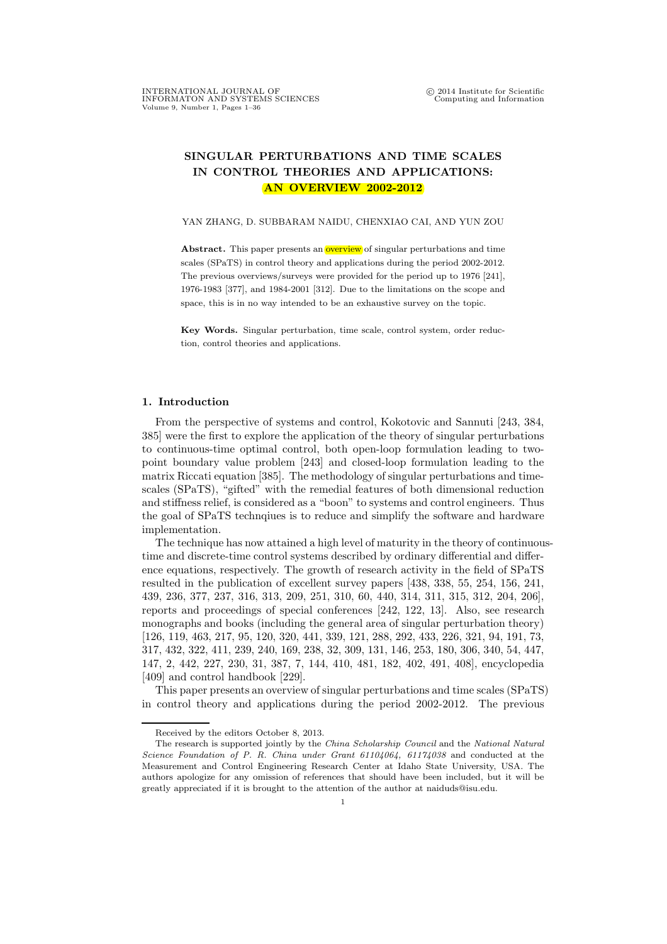# SINGULAR PERTURBATIONS AND TIME SCALES IN CONTROL THEORIES AND APPLICATIONS: AN OVERVIEW 2002-2012

YAN ZHANG, D. SUBBARAM NAIDU, CHENXIAO CAI, AND YUN ZOU

Abstract. This paper presents an **overview** of singular perturbations and time scales (SPaTS) in control theory and applications during the period 2002-2012. The previous overviews/surveys were provided for the period up to 1976 [241], 1976-1983 [377], and 1984-2001 [312]. Due to the limitations on the scope and space, this is in no way intended to be an exhaustive survey on the topic.

Key Words. Singular perturbation, time scale, control system, order reduction, control theories and applications.

#### 1. Introduction

From the perspective of systems and control, Kokotovic and Sannuti [243, 384, 385] were the first to explore the application of the theory of singular perturbations to continuous-time optimal control, both open-loop formulation leading to twopoint boundary value problem [243] and closed-loop formulation leading to the matrix Riccati equation [385]. The methodology of singular perturbations and timescales (SPaTS), "gifted" with the remedial features of both dimensional reduction and stiffness relief, is considered as a "boon" to systems and control engineers. Thus the goal of SPaTS technqiues is to reduce and simplify the software and hardware implementation.

The technique has now attained a high level of maturity in the theory of continuoustime and discrete-time control systems described by ordinary differential and difference equations, respectively. The growth of research activity in the field of SPaTS resulted in the publication of excellent survey papers [438, 338, 55, 254, 156, 241, 439, 236, 377, 237, 316, 313, 209, 251, 310, 60, 440, 314, 311, 315, 312, 204, 206], reports and proceedings of special conferences [242, 122, 13]. Also, see research monographs and books (including the general area of singular perturbation theory) [126, 119, 463, 217, 95, 120, 320, 441, 339, 121, 288, 292, 433, 226, 321, 94, 191, 73, 317, 432, 322, 411, 239, 240, 169, 238, 32, 309, 131, 146, 253, 180, 306, 340, 54, 447, 147, 2, 442, 227, 230, 31, 387, 7, 144, 410, 481, 182, 402, 491, 408], encyclopedia [409] and control handbook [229].

This paper presents an overview of singular perturbations and time scales (SPaTS) in control theory and applications during the period 2002-2012. The previous

Received by the editors October 8, 2013.

The research is supported jointly by the *China Scholarship Council* and the *National Natural Science Foundation of P. R. China under Grant 61104064, 61174038* and conducted at the Measurement and Control Engineering Research Center at Idaho State University, USA. The authors apologize for any omission of references that should have been included, but it will be greatly appreciated if it is brought to the attention of the author at naiduds@isu.edu.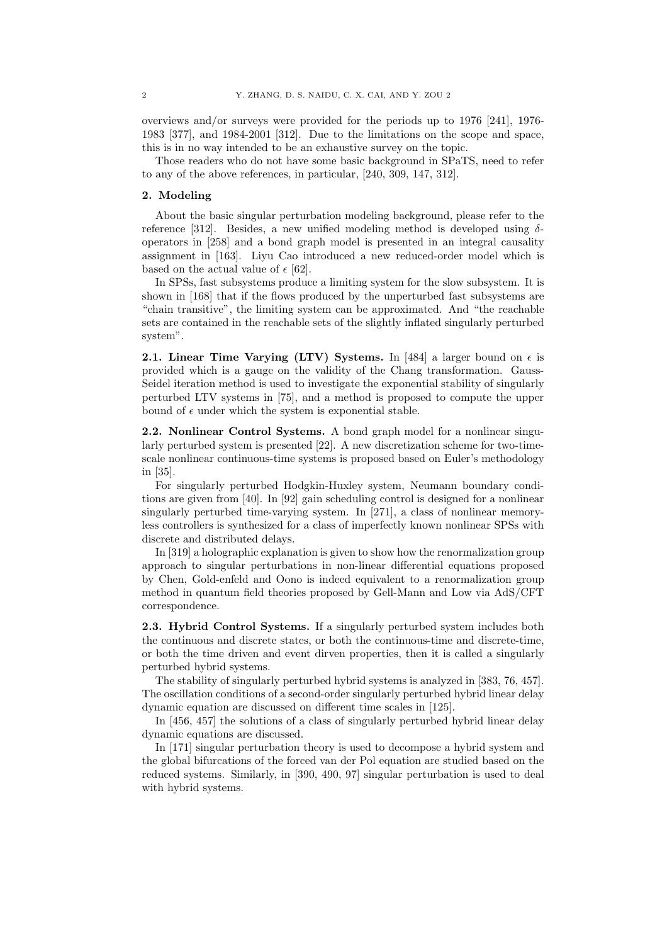overviews and/or surveys were provided for the periods up to 1976 [241], 1976- 1983 [377], and 1984-2001 [312]. Due to the limitations on the scope and space, this is in no way intended to be an exhaustive survey on the topic.

Those readers who do not have some basic background in SPaTS, need to refer to any of the above references, in particular, [240, 309, 147, 312].

## 2. Modeling

About the basic singular perturbation modeling background, please refer to the reference [312]. Besides, a new unified modeling method is developed using  $\delta$ operators in [258] and a bond graph model is presented in an integral causality assignment in [163]. Liyu Cao introduced a new reduced-order model which is based on the actual value of  $\epsilon$  [62].

In SPSs, fast subsystems produce a limiting system for the slow subsystem. It is shown in [168] that if the flows produced by the unperturbed fast subsystems are "chain transitive", the limiting system can be approximated. And "the reachable sets are contained in the reachable sets of the slightly inflated singularly perturbed system".

2.1. Linear Time Varying (LTV) Systems. In [484] a larger bound on  $\epsilon$  is provided which is a gauge on the validity of the Chang transformation. Gauss-Seidel iteration method is used to investigate the exponential stability of singularly perturbed LTV systems in [75], and a method is proposed to compute the upper bound of  $\epsilon$  under which the system is exponential stable.

2.2. Nonlinear Control Systems. A bond graph model for a nonlinear singularly perturbed system is presented [22]. A new discretization scheme for two-timescale nonlinear continuous-time systems is proposed based on Euler's methodology in [35].

For singularly perturbed Hodgkin-Huxley system, Neumann boundary conditions are given from [40]. In [92] gain scheduling control is designed for a nonlinear singularly perturbed time-varying system. In [271], a class of nonlinear memoryless controllers is synthesized for a class of imperfectly known nonlinear SPSs with discrete and distributed delays.

In [319] a holographic explanation is given to show how the renormalization group approach to singular perturbations in non-linear differential equations proposed by Chen, Gold-enfeld and Oono is indeed equivalent to a renormalization group method in quantum field theories proposed by Gell-Mann and Low via AdS/CFT correspondence.

2.3. Hybrid Control Systems. If a singularly perturbed system includes both the continuous and discrete states, or both the continuous-time and discrete-time, or both the time driven and event dirven properties, then it is called a singularly perturbed hybrid systems.

The stability of singularly perturbed hybrid systems is analyzed in [383, 76, 457]. The oscillation conditions of a second-order singularly perturbed hybrid linear delay dynamic equation are discussed on different time scales in [125].

In [456, 457] the solutions of a class of singularly perturbed hybrid linear delay dynamic equations are discussed.

In [171] singular perturbation theory is used to decompose a hybrid system and the global bifurcations of the forced van der Pol equation are studied based on the reduced systems. Similarly, in [390, 490, 97] singular perturbation is used to deal with hybrid systems.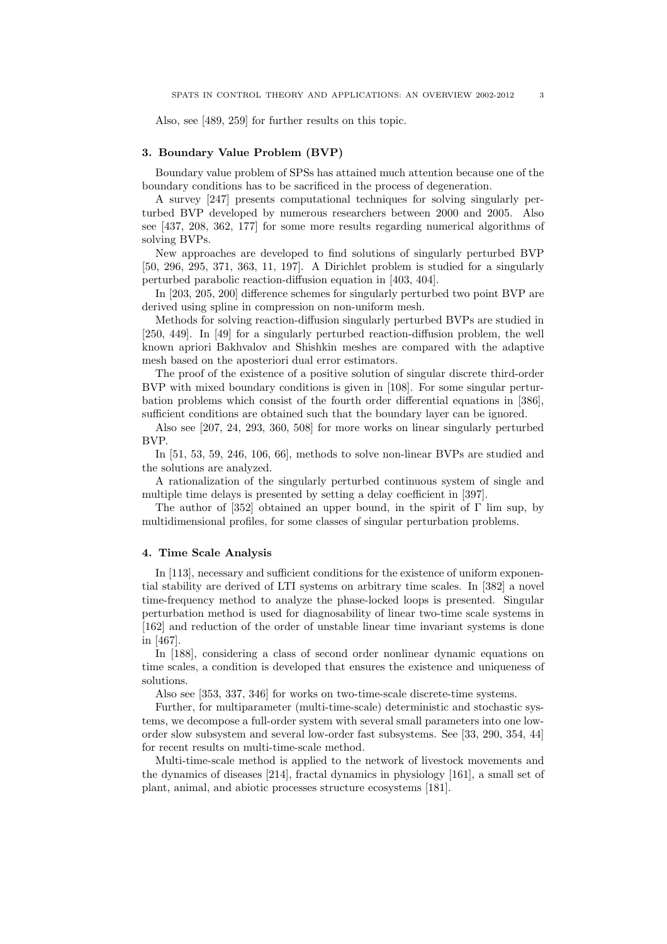Also, see [489, 259] for further results on this topic.

## 3. Boundary Value Problem (BVP)

Boundary value problem of SPSs has attained much attention because one of the boundary conditions has to be sacrificed in the process of degeneration.

A survey [247] presents computational techniques for solving singularly perturbed BVP developed by numerous researchers between 2000 and 2005. Also see [437, 208, 362, 177] for some more results regarding numerical algorithms of solving BVPs.

New approaches are developed to find solutions of singularly perturbed BVP [50, 296, 295, 371, 363, 11, 197]. A Dirichlet problem is studied for a singularly perturbed parabolic reaction-diffusion equation in [403, 404].

In [203, 205, 200] difference schemes for singularly perturbed two point BVP are derived using spline in compression on non-uniform mesh.

Methods for solving reaction-diffusion singularly perturbed BVPs are studied in [250, 449]. In [49] for a singularly perturbed reaction-diffusion problem, the well known apriori Bakhvalov and Shishkin meshes are compared with the adaptive mesh based on the aposteriori dual error estimators.

The proof of the existence of a positive solution of singular discrete third-order BVP with mixed boundary conditions is given in [108]. For some singular perturbation problems which consist of the fourth order differential equations in [386], sufficient conditions are obtained such that the boundary layer can be ignored.

Also see [207, 24, 293, 360, 508] for more works on linear singularly perturbed BVP.

In [51, 53, 59, 246, 106, 66], methods to solve non-linear BVPs are studied and the solutions are analyzed.

A rationalization of the singularly perturbed continuous system of single and multiple time delays is presented by setting a delay coefficient in [397].

The author of [352] obtained an upper bound, in the spirit of  $\Gamma$  lim sup, by multidimensional profiles, for some classes of singular perturbation problems.

#### 4. Time Scale Analysis

In [113], necessary and sufficient conditions for the existence of uniform exponential stability are derived of LTI systems on arbitrary time scales. In [382] a novel time-frequency method to analyze the phase-locked loops is presented. Singular perturbation method is used for diagnosability of linear two-time scale systems in [162] and reduction of the order of unstable linear time invariant systems is done in [467].

In [188], considering a class of second order nonlinear dynamic equations on time scales, a condition is developed that ensures the existence and uniqueness of solutions.

Also see [353, 337, 346] for works on two-time-scale discrete-time systems.

Further, for multiparameter (multi-time-scale) deterministic and stochastic systems, we decompose a full-order system with several small parameters into one loworder slow subsystem and several low-order fast subsystems. See [33, 290, 354, 44] for recent results on multi-time-scale method.

Multi-time-scale method is applied to the network of livestock movements and the dynamics of diseases [214], fractal dynamics in physiology [161], a small set of plant, animal, and abiotic processes structure ecosystems [181].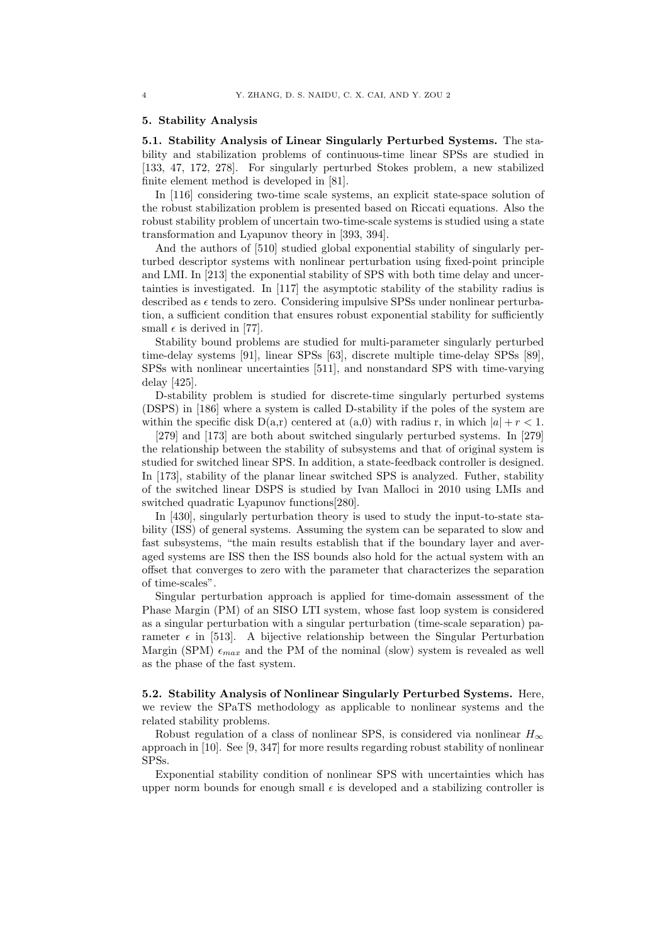#### 5. Stability Analysis

5.1. Stability Analysis of Linear Singularly Perturbed Systems. The stability and stabilization problems of continuous-time linear SPSs are studied in [133, 47, 172, 278]. For singularly perturbed Stokes problem, a new stabilized finite element method is developed in [81].

In [116] considering two-time scale systems, an explicit state-space solution of the robust stabilization problem is presented based on Riccati equations. Also the robust stability problem of uncertain two-time-scale systems is studied using a state transformation and Lyapunov theory in [393, 394].

And the authors of [510] studied global exponential stability of singularly perturbed descriptor systems with nonlinear perturbation using fixed-point principle and LMI. In [213] the exponential stability of SPS with both time delay and uncertainties is investigated. In [117] the asymptotic stability of the stability radius is described as  $\epsilon$  tends to zero. Considering impulsive SPSs under nonlinear perturbation, a sufficient condition that ensures robust exponential stability for sufficiently small  $\epsilon$  is derived in [77].

Stability bound problems are studied for multi-parameter singularly perturbed time-delay systems [91], linear SPSs [63], discrete multiple time-delay SPSs [89], SPSs with nonlinear uncertainties [511], and nonstandard SPS with time-varying delay [425].

D-stability problem is studied for discrete-time singularly perturbed systems (DSPS) in [186] where a system is called D-stability if the poles of the system are within the specific disk  $D(a,r)$  centered at  $(a,0)$  with radius r, in which  $|a| + r < 1$ .

[279] and [173] are both about switched singularly perturbed systems. In [279] the relationship between the stability of subsystems and that of original system is studied for switched linear SPS. In addition, a state-feedback controller is designed. In [173], stability of the planar linear switched SPS is analyzed. Futher, stability of the switched linear DSPS is studied by Ivan Malloci in 2010 using LMIs and switched quadratic Lyapunov functions[280].

In [430], singularly perturbation theory is used to study the input-to-state stability (ISS) of general systems. Assuming the system can be separated to slow and fast subsystems, "the main results establish that if the boundary layer and averaged systems are ISS then the ISS bounds also hold for the actual system with an offset that converges to zero with the parameter that characterizes the separation of time-scales".

Singular perturbation approach is applied for time-domain assessment of the Phase Margin (PM) of an SISO LTI system, whose fast loop system is considered as a singular perturbation with a singular perturbation (time-scale separation) parameter  $\epsilon$  in [513]. A bijective relationship between the Singular Perturbation Margin (SPM)  $\epsilon_{max}$  and the PM of the nominal (slow) system is revealed as well as the phase of the fast system.

5.2. Stability Analysis of Nonlinear Singularly Perturbed Systems. Here, we review the SPaTS methodology as applicable to nonlinear systems and the related stability problems.

Robust regulation of a class of nonlinear SPS, is considered via nonlinear  $H_{\infty}$ approach in [10]. See [9, 347] for more results regarding robust stability of nonlinear SPSs.

Exponential stability condition of nonlinear SPS with uncertainties which has upper norm bounds for enough small  $\epsilon$  is developed and a stabilizing controller is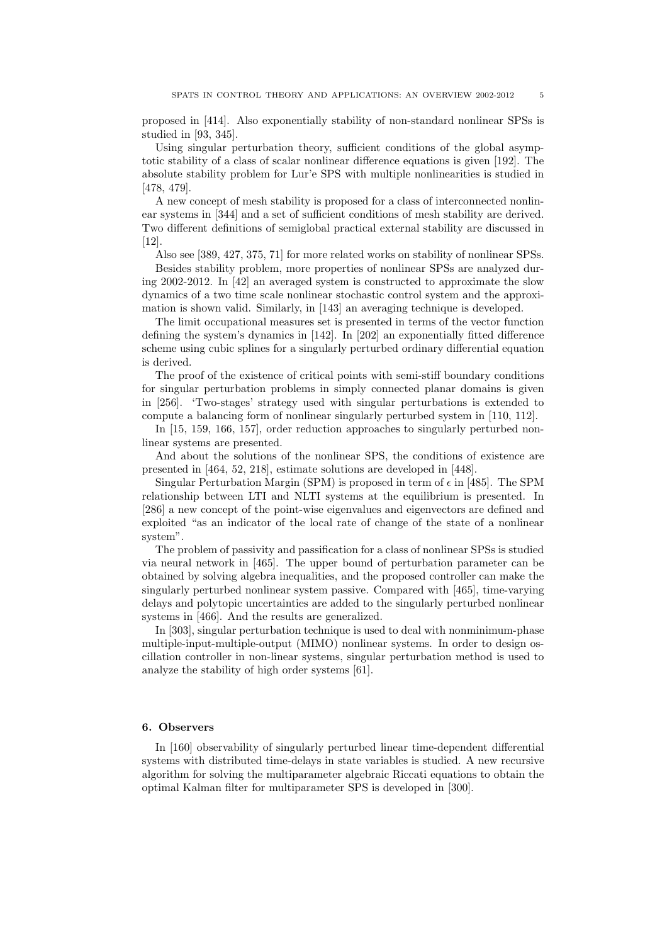proposed in [414]. Also exponentially stability of non-standard nonlinear SPSs is studied in [93, 345].

Using singular perturbation theory, sufficient conditions of the global asymptotic stability of a class of scalar nonlinear difference equations is given [192]. The absolute stability problem for Lur'e SPS with multiple nonlinearities is studied in [478, 479].

A new concept of mesh stability is proposed for a class of interconnected nonlinear systems in [344] and a set of sufficient conditions of mesh stability are derived. Two different definitions of semiglobal practical external stability are discussed in [12].

Also see [389, 427, 375, 71] for more related works on stability of nonlinear SPSs.

Besides stability problem, more properties of nonlinear SPSs are analyzed during 2002-2012. In [42] an averaged system is constructed to approximate the slow dynamics of a two time scale nonlinear stochastic control system and the approximation is shown valid. Similarly, in [143] an averaging technique is developed.

The limit occupational measures set is presented in terms of the vector function defining the system's dynamics in [142]. In [202] an exponentially fitted difference scheme using cubic splines for a singularly perturbed ordinary differential equation is derived.

The proof of the existence of critical points with semi-stiff boundary conditions for singular perturbation problems in simply connected planar domains is given in [256]. 'Two-stages' strategy used with singular perturbations is extended to compute a balancing form of nonlinear singularly perturbed system in [110, 112].

In [15, 159, 166, 157], order reduction approaches to singularly perturbed nonlinear systems are presented.

And about the solutions of the nonlinear SPS, the conditions of existence are presented in [464, 52, 218], estimate solutions are developed in [448].

Singular Perturbation Margin (SPM) is proposed in term of  $\epsilon$  in [485]. The SPM relationship between LTI and NLTI systems at the equilibrium is presented. In [286] a new concept of the point-wise eigenvalues and eigenvectors are defined and exploited "as an indicator of the local rate of change of the state of a nonlinear system".

The problem of passivity and passification for a class of nonlinear SPSs is studied via neural network in [465]. The upper bound of perturbation parameter can be obtained by solving algebra inequalities, and the proposed controller can make the singularly perturbed nonlinear system passive. Compared with [465], time-varying delays and polytopic uncertainties are added to the singularly perturbed nonlinear systems in [466]. And the results are generalized.

In [303], singular perturbation technique is used to deal with nonminimum-phase multiple-input-multiple-output (MIMO) nonlinear systems. In order to design oscillation controller in non-linear systems, singular perturbation method is used to analyze the stability of high order systems [61].

## 6. Observers

In [160] observability of singularly perturbed linear time-dependent differential systems with distributed time-delays in state variables is studied. A new recursive algorithm for solving the multiparameter algebraic Riccati equations to obtain the optimal Kalman filter for multiparameter SPS is developed in [300].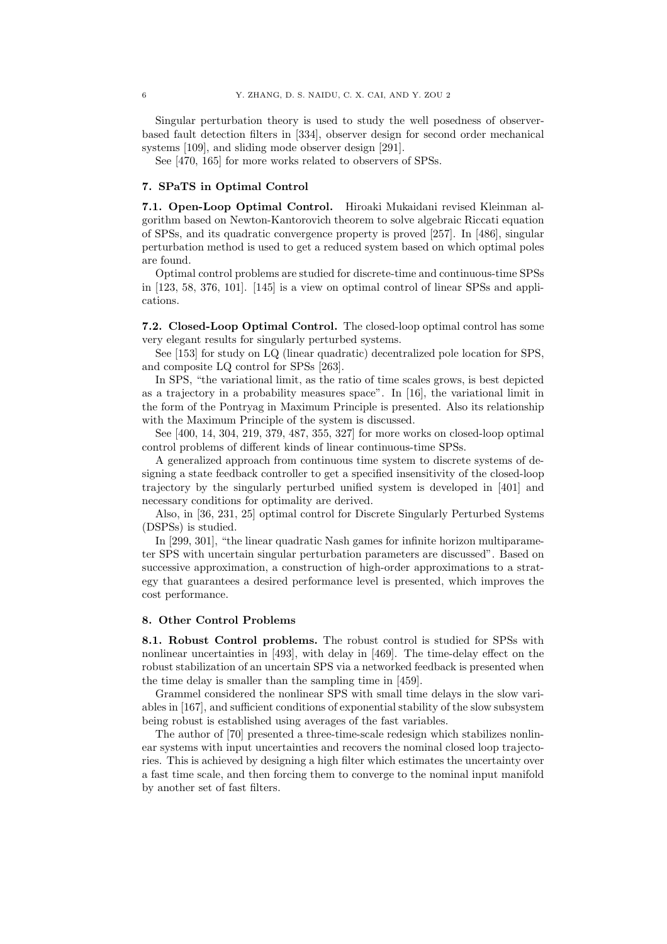Singular perturbation theory is used to study the well posedness of observerbased fault detection filters in [334], observer design for second order mechanical systems [109], and sliding mode observer design [291].

See [470, 165] for more works related to observers of SPSs.

#### 7. SPaTS in Optimal Control

7.1. Open-Loop Optimal Control. Hiroaki Mukaidani revised Kleinman algorithm based on Newton-Kantorovich theorem to solve algebraic Riccati equation of SPSs, and its quadratic convergence property is proved [257]. In [486], singular perturbation method is used to get a reduced system based on which optimal poles are found.

Optimal control problems are studied for discrete-time and continuous-time SPSs in [123, 58, 376, 101]. [145] is a view on optimal control of linear SPSs and applications.

7.2. Closed-Loop Optimal Control. The closed-loop optimal control has some very elegant results for singularly perturbed systems.

See [153] for study on LQ (linear quadratic) decentralized pole location for SPS, and composite LQ control for SPSs [263].

In SPS, "the variational limit, as the ratio of time scales grows, is best depicted as a trajectory in a probability measures space". In [16], the variational limit in the form of the Pontryag in Maximum Principle is presented. Also its relationship with the Maximum Principle of the system is discussed.

See [400, 14, 304, 219, 379, 487, 355, 327] for more works on closed-loop optimal control problems of different kinds of linear continuous-time SPSs.

A generalized approach from continuous time system to discrete systems of designing a state feedback controller to get a specified insensitivity of the closed-loop trajectory by the singularly perturbed unified system is developed in [401] and necessary conditions for optimality are derived.

Also, in [36, 231, 25] optimal control for Discrete Singularly Perturbed Systems (DSPSs) is studied.

In [299, 301], "the linear quadratic Nash games for infinite horizon multiparameter SPS with uncertain singular perturbation parameters are discussed". Based on successive approximation, a construction of high-order approximations to a strategy that guarantees a desired performance level is presented, which improves the cost performance.

## 8. Other Control Problems

8.1. Robust Control problems. The robust control is studied for SPSs with nonlinear uncertainties in [493], with delay in [469]. The time-delay effect on the robust stabilization of an uncertain SPS via a networked feedback is presented when the time delay is smaller than the sampling time in [459].

Grammel considered the nonlinear SPS with small time delays in the slow variables in [167], and sufficient conditions of exponential stability of the slow subsystem being robust is established using averages of the fast variables.

The author of [70] presented a three-time-scale redesign which stabilizes nonlinear systems with input uncertainties and recovers the nominal closed loop trajectories. This is achieved by designing a high filter which estimates the uncertainty over a fast time scale, and then forcing them to converge to the nominal input manifold by another set of fast filters.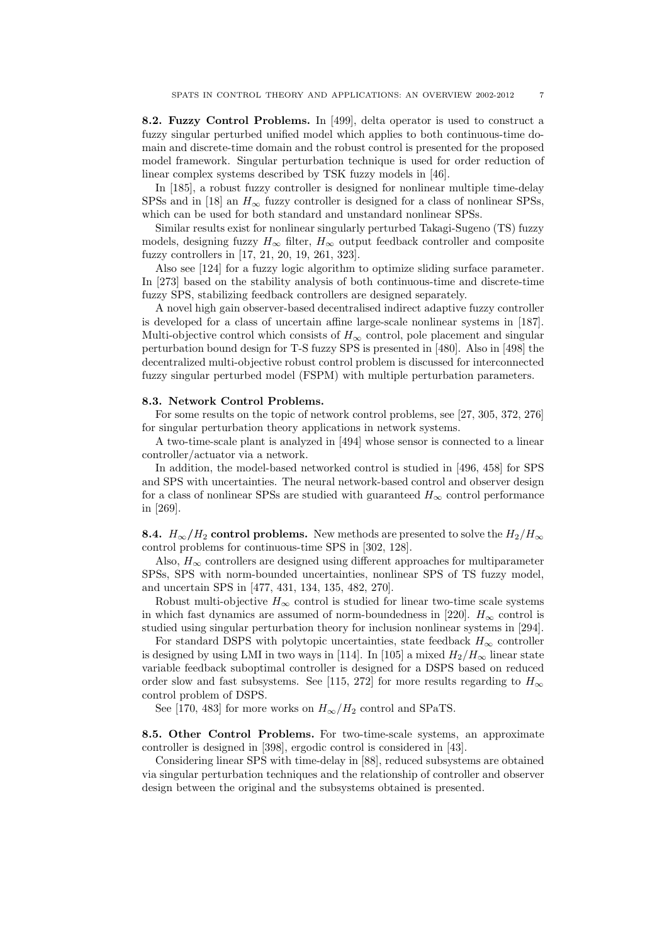8.2. Fuzzy Control Problems. In [499], delta operator is used to construct a fuzzy singular perturbed unified model which applies to both continuous-time domain and discrete-time domain and the robust control is presented for the proposed model framework. Singular perturbation technique is used for order reduction of linear complex systems described by TSK fuzzy models in [46].

In [185], a robust fuzzy controller is designed for nonlinear multiple time-delay SPSs and in [18] an  $H_{\infty}$  fuzzy controller is designed for a class of nonlinear SPSs, which can be used for both standard and unstandard nonlinear SPSs.

Similar results exist for nonlinear singularly perturbed Takagi-Sugeno (TS) fuzzy models, designing fuzzy  $H_{\infty}$  filter,  $H_{\infty}$  output feedback controller and composite fuzzy controllers in [17, 21, 20, 19, 261, 323].

Also see [124] for a fuzzy logic algorithm to optimize sliding surface parameter. In [273] based on the stability analysis of both continuous-time and discrete-time fuzzy SPS, stabilizing feedback controllers are designed separately.

A novel high gain observer-based decentralised indirect adaptive fuzzy controller is developed for a class of uncertain affine large-scale nonlinear systems in [187]. Multi-objective control which consists of  $H_{\infty}$  control, pole placement and singular perturbation bound design for T-S fuzzy SPS is presented in [480]. Also in [498] the decentralized multi-objective robust control problem is discussed for interconnected fuzzy singular perturbed model (FSPM) with multiple perturbation parameters.

#### 8.3. Network Control Problems.

For some results on the topic of network control problems, see [27, 305, 372, 276] for singular perturbation theory applications in network systems.

A two-time-scale plant is analyzed in [494] whose sensor is connected to a linear controller/actuator via a network.

In addition, the model-based networked control is studied in [496, 458] for SPS and SPS with uncertainties. The neural network-based control and observer design for a class of nonlinear SPSs are studied with guaranteed  $H_{\infty}$  control performance in [269].

**8.4.**  $H_{\infty}/H_2$  control problems. New methods are presented to solve the  $H_2/H_{\infty}$ control problems for continuous-time SPS in [302, 128].

Also,  $H_{\infty}$  controllers are designed using different approaches for multiparameter SPSs, SPS with norm-bounded uncertainties, nonlinear SPS of TS fuzzy model, and uncertain SPS in [477, 431, 134, 135, 482, 270].

Robust multi-objective  $H_{\infty}$  control is studied for linear two-time scale systems in which fast dynamics are assumed of norm-boundedness in [220].  $H_{\infty}$  control is studied using singular perturbation theory for inclusion nonlinear systems in [294].

For standard DSPS with polytopic uncertainties, state feedback  $H_{\infty}$  controller is designed by using LMI in two ways in [114]. In [105] a mixed  $H_2/H_{\infty}$  linear state variable feedback suboptimal controller is designed for a DSPS based on reduced order slow and fast subsystems. See [115, 272] for more results regarding to  $H_{\infty}$ control problem of DSPS.

See [170, 483] for more works on  $H_{\infty}/H_2$  control and SPaTS.

8.5. Other Control Problems. For two-time-scale systems, an approximate controller is designed in [398], ergodic control is considered in [43].

Considering linear SPS with time-delay in [88], reduced subsystems are obtained via singular perturbation techniques and the relationship of controller and observer design between the original and the subsystems obtained is presented.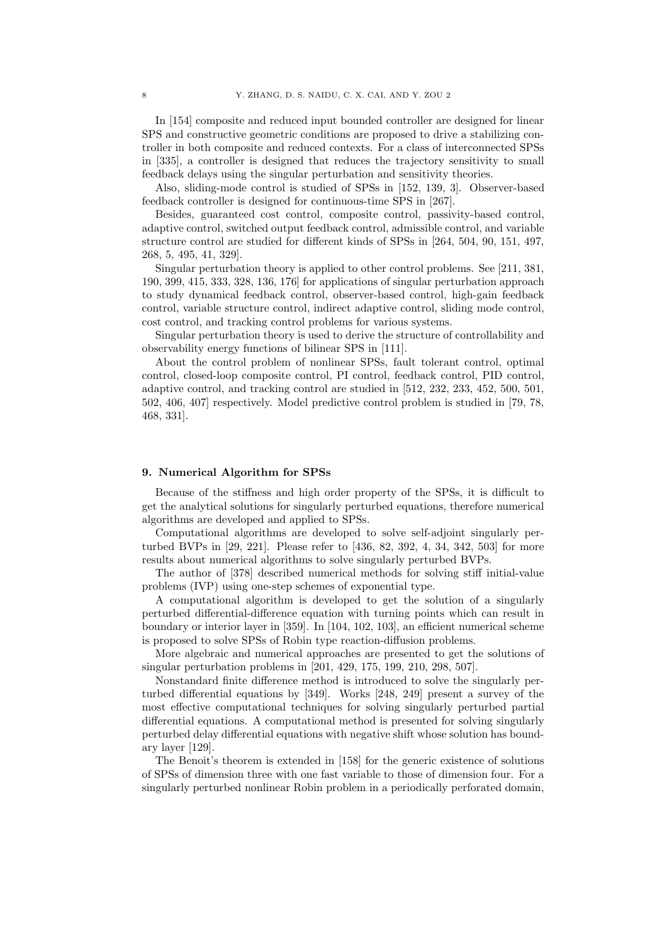In [154] composite and reduced input bounded controller are designed for linear SPS and constructive geometric conditions are proposed to drive a stabilizing controller in both composite and reduced contexts. For a class of interconnected SPSs in [335], a controller is designed that reduces the trajectory sensitivity to small feedback delays using the singular perturbation and sensitivity theories.

Also, sliding-mode control is studied of SPSs in [152, 139, 3]. Observer-based feedback controller is designed for continuous-time SPS in [267].

Besides, guaranteed cost control, composite control, passivity-based control, adaptive control, switched output feedback control, admissible control, and variable structure control are studied for different kinds of SPSs in [264, 504, 90, 151, 497, 268, 5, 495, 41, 329].

Singular perturbation theory is applied to other control problems. See [211, 381, 190, 399, 415, 333, 328, 136, 176] for applications of singular perturbation approach to study dynamical feedback control, observer-based control, high-gain feedback control, variable structure control, indirect adaptive control, sliding mode control, cost control, and tracking control problems for various systems.

Singular perturbation theory is used to derive the structure of controllability and observability energy functions of bilinear SPS in [111].

About the control problem of nonlinear SPSs, fault tolerant control, optimal control, closed-loop composite control, PI control, feedback control, PID control, adaptive control, and tracking control are studied in [512, 232, 233, 452, 500, 501, 502, 406, 407] respectively. Model predictive control problem is studied in [79, 78, 468, 331].

## 9. Numerical Algorithm for SPSs

Because of the stiffness and high order property of the SPSs, it is difficult to get the analytical solutions for singularly perturbed equations, therefore numerical algorithms are developed and applied to SPSs.

Computational algorithms are developed to solve self-adjoint singularly perturbed BVPs in [29, 221]. Please refer to [436, 82, 392, 4, 34, 342, 503] for more results about numerical algorithms to solve singularly perturbed BVPs.

The author of [378] described numerical methods for solving stiff initial-value problems (IVP) using one-step schemes of exponential type.

A computational algorithm is developed to get the solution of a singularly perturbed differential-difference equation with turning points which can result in boundary or interior layer in [359]. In [104, 102, 103], an efficient numerical scheme is proposed to solve SPSs of Robin type reaction-diffusion problems.

More algebraic and numerical approaches are presented to get the solutions of singular perturbation problems in [201, 429, 175, 199, 210, 298, 507].

Nonstandard finite difference method is introduced to solve the singularly perturbed differential equations by [349]. Works [248, 249] present a survey of the most effective computational techniques for solving singularly perturbed partial differential equations. A computational method is presented for solving singularly perturbed delay differential equations with negative shift whose solution has boundary layer [129].

The Benoit's theorem is extended in [158] for the generic existence of solutions of SPSs of dimension three with one fast variable to those of dimension four. For a singularly perturbed nonlinear Robin problem in a periodically perforated domain,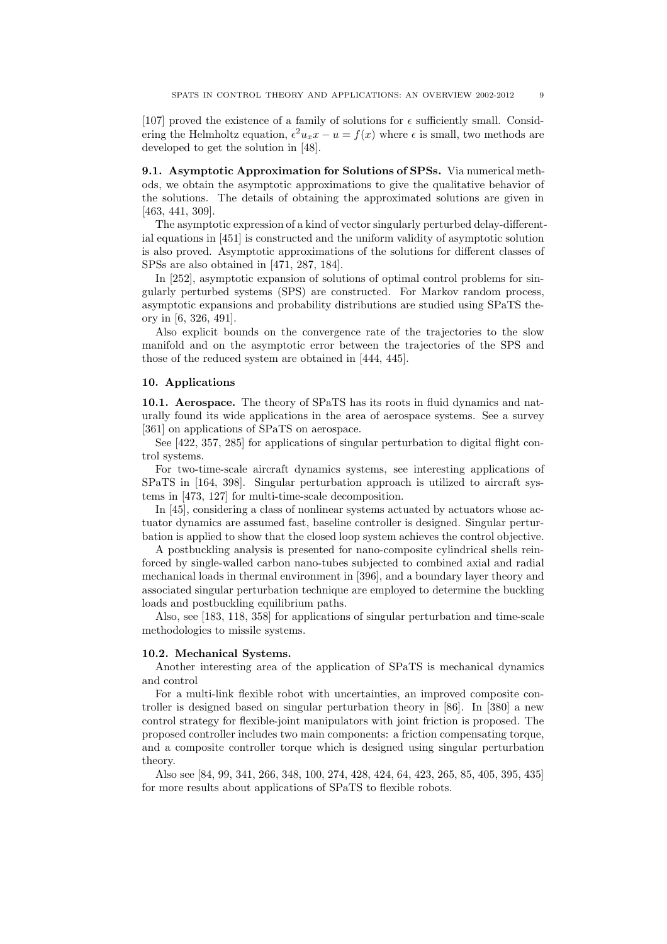[107] proved the existence of a family of solutions for  $\epsilon$  sufficiently small. Considering the Helmholtz equation,  $\epsilon^2 u_x x - u = f(x)$  where  $\epsilon$  is small, two methods are developed to get the solution in [48].

9.1. Asymptotic Approximation for Solutions of SPSs. Via numerical methods, we obtain the asymptotic approximations to give the qualitative behavior of the solutions. The details of obtaining the approximated solutions are given in [463, 441, 309].

The asymptotic expression of a kind of vector singularly perturbed delay-differential equations in [451] is constructed and the uniform validity of asymptotic solution is also proved. Asymptotic approximations of the solutions for different classes of SPSs are also obtained in [471, 287, 184].

In [252], asymptotic expansion of solutions of optimal control problems for singularly perturbed systems (SPS) are constructed. For Markov random process, asymptotic expansions and probability distributions are studied using SPaTS theory in [6, 326, 491].

Also explicit bounds on the convergence rate of the trajectories to the slow manifold and on the asymptotic error between the trajectories of the SPS and those of the reduced system are obtained in [444, 445].

#### 10. Applications

10.1. Aerospace. The theory of SPaTS has its roots in fluid dynamics and naturally found its wide applications in the area of aerospace systems. See a survey [361] on applications of SPaTS on aerospace.

See [422, 357, 285] for applications of singular perturbation to digital flight control systems.

For two-time-scale aircraft dynamics systems, see interesting applications of SPaTS in [164, 398]. Singular perturbation approach is utilized to aircraft systems in [473, 127] for multi-time-scale decomposition.

In [45], considering a class of nonlinear systems actuated by actuators whose actuator dynamics are assumed fast, baseline controller is designed. Singular perturbation is applied to show that the closed loop system achieves the control objective.

A postbuckling analysis is presented for nano-composite cylindrical shells reinforced by single-walled carbon nano-tubes subjected to combined axial and radial mechanical loads in thermal environment in [396], and a boundary layer theory and associated singular perturbation technique are employed to determine the buckling loads and postbuckling equilibrium paths.

Also, see [183, 118, 358] for applications of singular perturbation and time-scale methodologies to missile systems.

## 10.2. Mechanical Systems.

Another interesting area of the application of SPaTS is mechanical dynamics and control

For a multi-link flexible robot with uncertainties, an improved composite controller is designed based on singular perturbation theory in [86]. In [380] a new control strategy for flexible-joint manipulators with joint friction is proposed. The proposed controller includes two main components: a friction compensating torque, and a composite controller torque which is designed using singular perturbation theory.

Also see [84, 99, 341, 266, 348, 100, 274, 428, 424, 64, 423, 265, 85, 405, 395, 435] for more results about applications of SPaTS to flexible robots.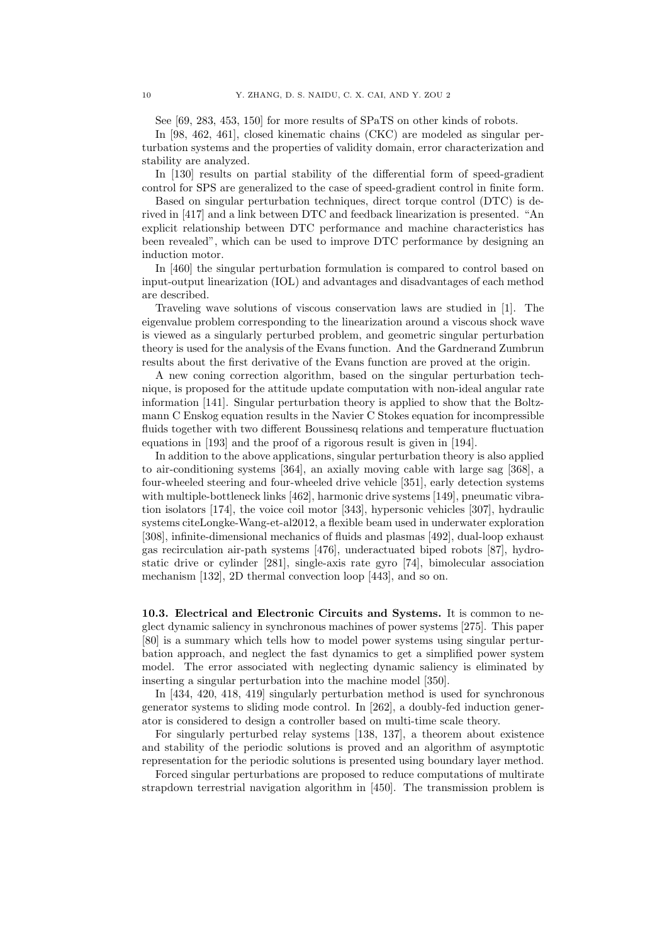See [69, 283, 453, 150] for more results of SPaTS on other kinds of robots.

In [98, 462, 461], closed kinematic chains (CKC) are modeled as singular perturbation systems and the properties of validity domain, error characterization and stability are analyzed.

In [130] results on partial stability of the differential form of speed-gradient control for SPS are generalized to the case of speed-gradient control in finite form.

Based on singular perturbation techniques, direct torque control (DTC) is derived in [417] and a link between DTC and feedback linearization is presented. "An explicit relationship between DTC performance and machine characteristics has been revealed", which can be used to improve DTC performance by designing an induction motor.

In [460] the singular perturbation formulation is compared to control based on input-output linearization (IOL) and advantages and disadvantages of each method are described.

Traveling wave solutions of viscous conservation laws are studied in [1]. The eigenvalue problem corresponding to the linearization around a viscous shock wave is viewed as a singularly perturbed problem, and geometric singular perturbation theory is used for the analysis of the Evans function. And the Gardnerand Zumbrun results about the first derivative of the Evans function are proved at the origin.

A new coning correction algorithm, based on the singular perturbation technique, is proposed for the attitude update computation with non-ideal angular rate information [141]. Singular perturbation theory is applied to show that the Boltzmann C Enskog equation results in the Navier C Stokes equation for incompressible fluids together with two different Boussinesq relations and temperature fluctuation equations in [193] and the proof of a rigorous result is given in [194].

In addition to the above applications, singular perturbation theory is also applied to air-conditioning systems [364], an axially moving cable with large sag [368], a four-wheeled steering and four-wheeled drive vehicle [351], early detection systems with multiple-bottleneck links [462], harmonic drive systems [149], pneumatic vibration isolators [174], the voice coil motor [343], hypersonic vehicles [307], hydraulic systems citeLongke-Wang-et-al2012, a flexible beam used in underwater exploration [308], infinite-dimensional mechanics of fluids and plasmas [492], dual-loop exhaust gas recirculation air-path systems [476], underactuated biped robots [87], hydrostatic drive or cylinder [281], single-axis rate gyro [74], bimolecular association mechanism [132], 2D thermal convection loop [443], and so on.

10.3. Electrical and Electronic Circuits and Systems. It is common to neglect dynamic saliency in synchronous machines of power systems [275]. This paper [80] is a summary which tells how to model power systems using singular perturbation approach, and neglect the fast dynamics to get a simplified power system model. The error associated with neglecting dynamic saliency is eliminated by inserting a singular perturbation into the machine model [350].

In [434, 420, 418, 419] singularly perturbation method is used for synchronous generator systems to sliding mode control. In [262], a doubly-fed induction generator is considered to design a controller based on multi-time scale theory.

For singularly perturbed relay systems [138, 137], a theorem about existence and stability of the periodic solutions is proved and an algorithm of asymptotic representation for the periodic solutions is presented using boundary layer method.

Forced singular perturbations are proposed to reduce computations of multirate strapdown terrestrial navigation algorithm in [450]. The transmission problem is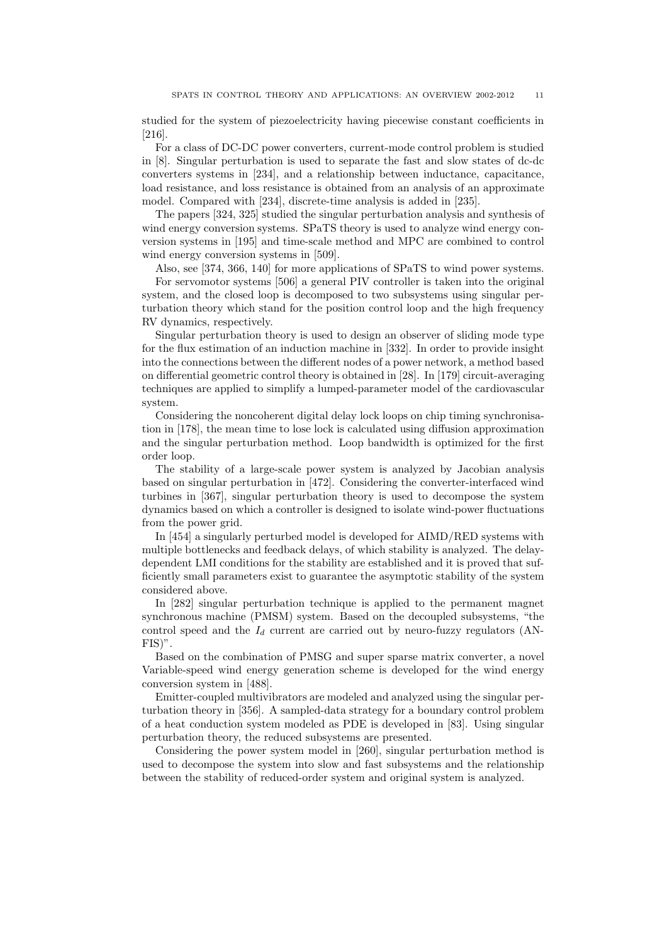studied for the system of piezoelectricity having piecewise constant coefficients in [216].

For a class of DC-DC power converters, current-mode control problem is studied in [8]. Singular perturbation is used to separate the fast and slow states of dc-dc converters systems in [234], and a relationship between inductance, capacitance, load resistance, and loss resistance is obtained from an analysis of an approximate model. Compared with [234], discrete-time analysis is added in [235].

The papers [324, 325] studied the singular perturbation analysis and synthesis of wind energy conversion systems. SPaTS theory is used to analyze wind energy conversion systems in [195] and time-scale method and MPC are combined to control wind energy conversion systems in [509].

Also, see [374, 366, 140] for more applications of SPaTS to wind power systems. For servomotor systems [506] a general PIV controller is taken into the original system, and the closed loop is decomposed to two subsystems using singular perturbation theory which stand for the position control loop and the high frequency RV dynamics, respectively.

Singular perturbation theory is used to design an observer of sliding mode type for the flux estimation of an induction machine in [332]. In order to provide insight into the connections between the different nodes of a power network, a method based on differential geometric control theory is obtained in [28]. In [179] circuit-averaging techniques are applied to simplify a lumped-parameter model of the cardiovascular system.

Considering the noncoherent digital delay lock loops on chip timing synchronisation in [178], the mean time to lose lock is calculated using diffusion approximation and the singular perturbation method. Loop bandwidth is optimized for the first order loop.

The stability of a large-scale power system is analyzed by Jacobian analysis based on singular perturbation in [472]. Considering the converter-interfaced wind turbines in [367], singular perturbation theory is used to decompose the system dynamics based on which a controller is designed to isolate wind-power fluctuations from the power grid.

In [454] a singularly perturbed model is developed for AIMD/RED systems with multiple bottlenecks and feedback delays, of which stability is analyzed. The delaydependent LMI conditions for the stability are established and it is proved that sufficiently small parameters exist to guarantee the asymptotic stability of the system considered above.

In [282] singular perturbation technique is applied to the permanent magnet synchronous machine (PMSM) system. Based on the decoupled subsystems, "the control speed and the  $I_d$  current are carried out by neuro-fuzzy regulators (AN-FIS)".

Based on the combination of PMSG and super sparse matrix converter, a novel Variable-speed wind energy generation scheme is developed for the wind energy conversion system in [488].

Emitter-coupled multivibrators are modeled and analyzed using the singular perturbation theory in [356]. A sampled-data strategy for a boundary control problem of a heat conduction system modeled as PDE is developed in [83]. Using singular perturbation theory, the reduced subsystems are presented.

Considering the power system model in [260], singular perturbation method is used to decompose the system into slow and fast subsystems and the relationship between the stability of reduced-order system and original system is analyzed.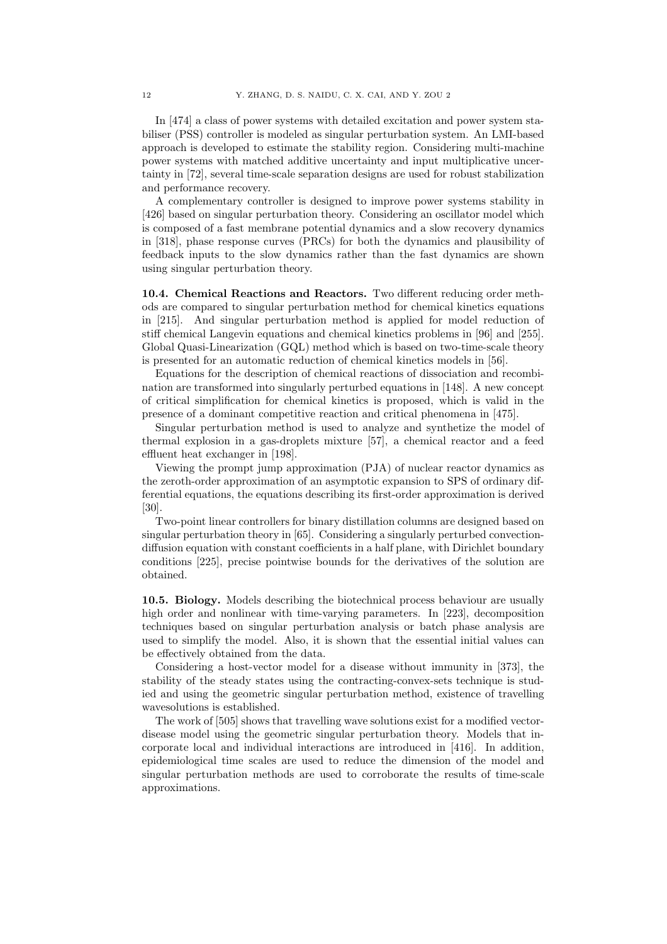In [474] a class of power systems with detailed excitation and power system stabiliser (PSS) controller is modeled as singular perturbation system. An LMI-based approach is developed to estimate the stability region. Considering multi-machine power systems with matched additive uncertainty and input multiplicative uncertainty in [72], several time-scale separation designs are used for robust stabilization and performance recovery.

A complementary controller is designed to improve power systems stability in [426] based on singular perturbation theory. Considering an oscillator model which is composed of a fast membrane potential dynamics and a slow recovery dynamics in [318], phase response curves (PRCs) for both the dynamics and plausibility of feedback inputs to the slow dynamics rather than the fast dynamics are shown using singular perturbation theory.

10.4. Chemical Reactions and Reactors. Two different reducing order methods are compared to singular perturbation method for chemical kinetics equations in [215]. And singular perturbation method is applied for model reduction of stiff chemical Langevin equations and chemical kinetics problems in [96] and [255]. Global Quasi-Linearization (GQL) method which is based on two-time-scale theory is presented for an automatic reduction of chemical kinetics models in [56].

Equations for the description of chemical reactions of dissociation and recombination are transformed into singularly perturbed equations in [148]. A new concept of critical simplification for chemical kinetics is proposed, which is valid in the presence of a dominant competitive reaction and critical phenomena in [475].

Singular perturbation method is used to analyze and synthetize the model of thermal explosion in a gas-droplets mixture [57], a chemical reactor and a feed effluent heat exchanger in [198].

Viewing the prompt jump approximation (PJA) of nuclear reactor dynamics as the zeroth-order approximation of an asymptotic expansion to SPS of ordinary differential equations, the equations describing its first-order approximation is derived [30].

Two-point linear controllers for binary distillation columns are designed based on singular perturbation theory in [65]. Considering a singularly perturbed convectiondiffusion equation with constant coefficients in a half plane, with Dirichlet boundary conditions [225], precise pointwise bounds for the derivatives of the solution are obtained.

10.5. Biology. Models describing the biotechnical process behaviour are usually high order and nonlinear with time-varying parameters. In [223], decomposition techniques based on singular perturbation analysis or batch phase analysis are used to simplify the model. Also, it is shown that the essential initial values can be effectively obtained from the data.

Considering a host-vector model for a disease without immunity in [373], the stability of the steady states using the contracting-convex-sets technique is studied and using the geometric singular perturbation method, existence of travelling wavesolutions is established.

The work of [505] shows that travelling wave solutions exist for a modified vectordisease model using the geometric singular perturbation theory. Models that incorporate local and individual interactions are introduced in [416]. In addition, epidemiological time scales are used to reduce the dimension of the model and singular perturbation methods are used to corroborate the results of time-scale approximations.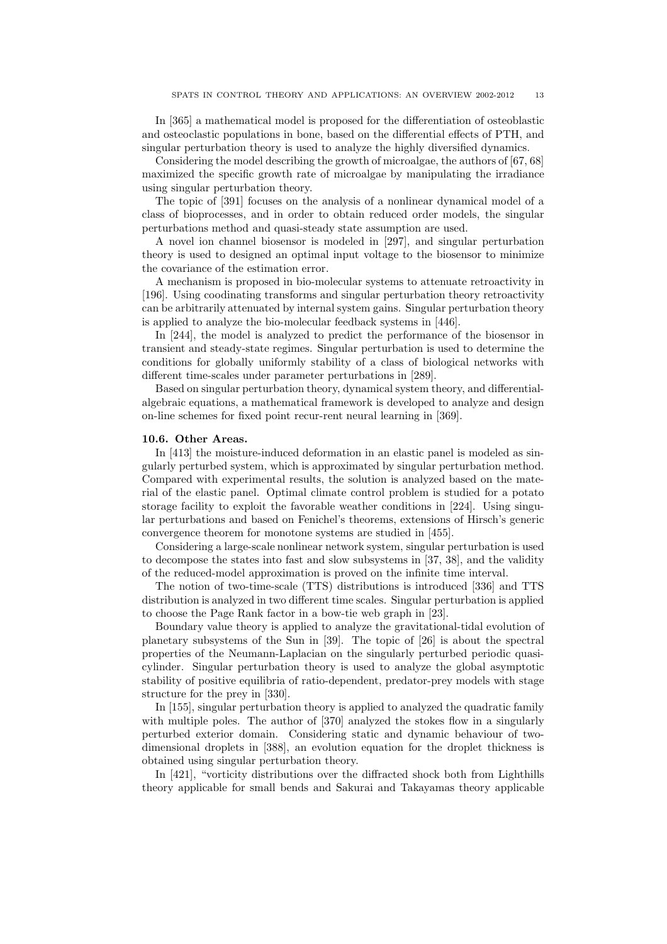In [365] a mathematical model is proposed for the differentiation of osteoblastic and osteoclastic populations in bone, based on the differential effects of PTH, and singular perturbation theory is used to analyze the highly diversified dynamics.

Considering the model describing the growth of microalgae, the authors of [67, 68] maximized the specific growth rate of microalgae by manipulating the irradiance using singular perturbation theory.

The topic of [391] focuses on the analysis of a nonlinear dynamical model of a class of bioprocesses, and in order to obtain reduced order models, the singular perturbations method and quasi-steady state assumption are used.

A novel ion channel biosensor is modeled in [297], and singular perturbation theory is used to designed an optimal input voltage to the biosensor to minimize the covariance of the estimation error.

A mechanism is proposed in bio-molecular systems to attenuate retroactivity in [196]. Using coodinating transforms and singular perturbation theory retroactivity can be arbitrarily attenuated by internal system gains. Singular perturbation theory is applied to analyze the bio-molecular feedback systems in [446].

In [244], the model is analyzed to predict the performance of the biosensor in transient and steady-state regimes. Singular perturbation is used to determine the conditions for globally uniformly stability of a class of biological networks with different time-scales under parameter perturbations in [289].

Based on singular perturbation theory, dynamical system theory, and differentialalgebraic equations, a mathematical framework is developed to analyze and design on-line schemes for fixed point recur-rent neural learning in [369].

#### 10.6. Other Areas.

In [413] the moisture-induced deformation in an elastic panel is modeled as singularly perturbed system, which is approximated by singular perturbation method. Compared with experimental results, the solution is analyzed based on the material of the elastic panel. Optimal climate control problem is studied for a potato storage facility to exploit the favorable weather conditions in [224]. Using singular perturbations and based on Fenichel's theorems, extensions of Hirsch's generic convergence theorem for monotone systems are studied in [455].

Considering a large-scale nonlinear network system, singular perturbation is used to decompose the states into fast and slow subsystems in [37, 38], and the validity of the reduced-model approximation is proved on the infinite time interval.

The notion of two-time-scale (TTS) distributions is introduced [336] and TTS distribution is analyzed in two different time scales. Singular perturbation is applied to choose the Page Rank factor in a bow-tie web graph in [23].

Boundary value theory is applied to analyze the gravitational-tidal evolution of planetary subsystems of the Sun in [39]. The topic of [26] is about the spectral properties of the Neumann-Laplacian on the singularly perturbed periodic quasicylinder. Singular perturbation theory is used to analyze the global asymptotic stability of positive equilibria of ratio-dependent, predator-prey models with stage structure for the prey in [330].

In [155], singular perturbation theory is applied to analyzed the quadratic family with multiple poles. The author of [370] analyzed the stokes flow in a singularly perturbed exterior domain. Considering static and dynamic behaviour of twodimensional droplets in [388], an evolution equation for the droplet thickness is obtained using singular perturbation theory.

In [421], "vorticity distributions over the diffracted shock both from Lighthills theory applicable for small bends and Sakurai and Takayamas theory applicable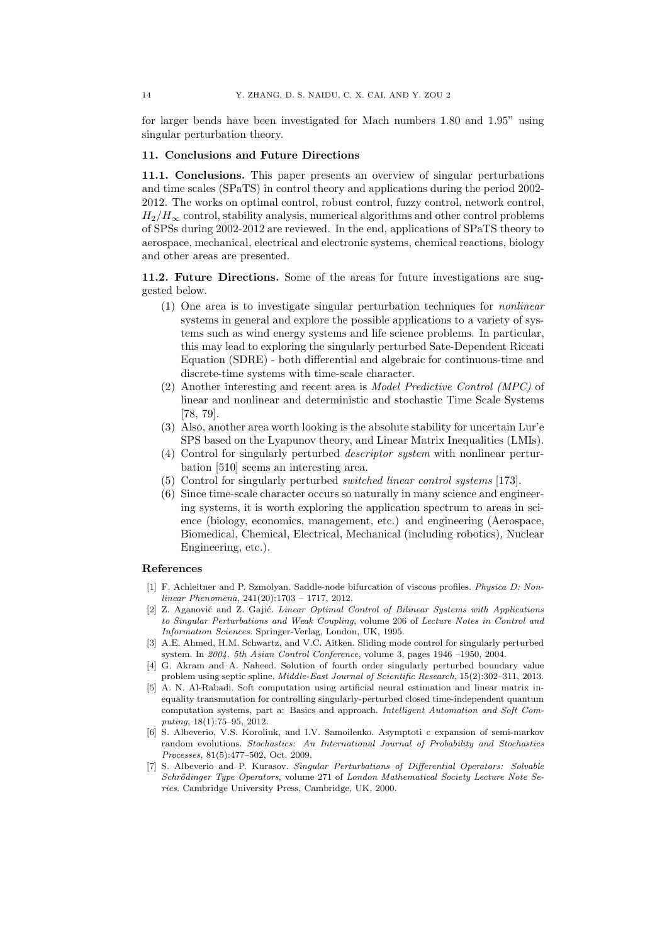for larger bends have been investigated for Mach numbers 1.80 and 1.95" using singular perturbation theory.

#### 11. Conclusions and Future Directions

11.1. Conclusions. This paper presents an overview of singular perturbations and time scales (SPaTS) in control theory and applications during the period 2002- 2012. The works on optimal control, robust control, fuzzy control, network control,  $H_2/H_{\infty}$  control, stability analysis, numerical algorithms and other control problems of SPSs during 2002-2012 are reviewed. In the end, applications of SPaTS theory to aerospace, mechanical, electrical and electronic systems, chemical reactions, biology and other areas are presented.

11.2. Future Directions. Some of the areas for future investigations are suggested below.

- (1) One area is to investigate singular perturbation techniques for nonlinear systems in general and explore the possible applications to a variety of systems such as wind energy systems and life science problems. In particular, this may lead to exploring the singularly perturbed Sate-Dependent Riccati Equation (SDRE) - both differential and algebraic for continuous-time and discrete-time systems with time-scale character.
- (2) Another interesting and recent area is Model Predictive Control (MPC) of linear and nonlinear and deterministic and stochastic Time Scale Systems [78, 79].
- (3) Also, another area worth looking is the absolute stability for uncertain Lur'e SPS based on the Lyapunov theory, and Linear Matrix Inequalities (LMIs).
- (4) Control for singularly perturbed descriptor system with nonlinear perturbation [510] seems an interesting area.
- (5) Control for singularly perturbed switched linear control systems [173].
- (6) Since time-scale character occurs so naturally in many science and engineering systems, it is worth exploring the application spectrum to areas in science (biology, economics, management, etc.) and engineering (Aerospace, Biomedical, Chemical, Electrical, Mechanical (including robotics), Nuclear Engineering, etc.).

## References

- [1] F. Achleitner and P. Szmolyan. Saddle-node bifurcation of viscous profiles. *Physica D: Nonlinear Phenomena*, 241(20):1703 – 1717, 2012.
- [2] Z. Aganovi´c and Z. Gaji´c. *Linear Optimal Control of Bilinear Systems with Applications to Singular Perturbations and Weak Coupling*, volume 206 of *Lecture Notes in Control and Information Sciences*. Springer-Verlag, London, UK, 1995.
- [3] A.E. Ahmed, H.M. Schwartz, and V.C. Aitken. Sliding mode control for singularly perturbed system. In *2004. 5th Asian Control Conference*, volume 3, pages 1946 –1950, 2004.
- [4] G. Akram and A. Naheed. Solution of fourth order singularly perturbed boundary value problem using septic spline. *Middle-East Journal of Scientific Research*, 15(2):302–311, 2013.
- [5] A. N. Al-Rabadi. Soft computation using artificial neural estimation and linear matrix inequality transmutation for controlling singularly-perturbed closed time-independent quantum computation systems, part a: Basics and approach. *Intelligent Automation and Soft Computing*, 18(1):75–95, 2012.
- [6] S. Albeverio, V.S. Koroliuk, and I.V. Samoilenko. Asymptoti c expansion of semi-markov random evolutions. *Stochastics: An International Journal of Probability and Stochastics Processes*, 81(5):477–502, Oct. 2009.
- [7] S. Albeverio and P. Kurasov. *Singular Perturbations of Differential Operators: Solvable* Schrödinger Type Operators, volume 271 of *London Mathematical Society Lecture Note Series*. Cambridge University Press, Cambridge, UK, 2000.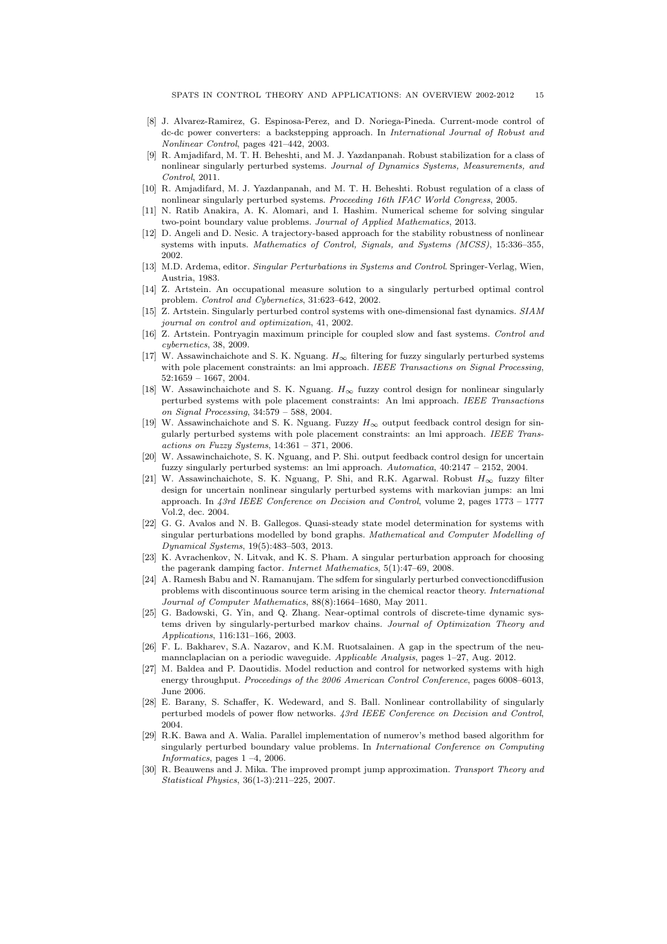- [8] J. Alvarez-Ramirez, G. Espinosa-Perez, and D. Noriega-Pineda. Current-mode control of dc-dc power converters: a backstepping approach. In *International Journal of Robust and Nonlinear Control*, pages 421–442, 2003.
- [9] R. Amjadifard, M. T. H. Beheshti, and M. J. Yazdanpanah. Robust stabilization for a class of nonlinear singularly perturbed systems. *Journal of Dynamics Systems, Measurements, and Control*, 2011.
- [10] R. Amjadifard, M. J. Yazdanpanah, and M. T. H. Beheshti. Robust regulation of a class of nonlinear singularly perturbed systems. *Proceeding 16th IFAC World Congress*, 2005.
- [11] N. Ratib Anakira, A. K. Alomari, and I. Hashim. Numerical scheme for solving singular two-point boundary value problems. *Journal of Applied Mathematics*, 2013.
- [12] D. Angeli and D. Nesic. A trajectory-based approach for the stability robustness of nonlinear systems with inputs. *Mathematics of Control, Signals, and Systems (MCSS)*, 15:336–355, 2002.
- [13] M.D. Ardema, editor. *Singular Perturbations in Systems and Control*. Springer-Verlag, Wien, Austria, 1983.
- [14] Z. Artstein. An occupational measure solution to a singularly perturbed optimal control problem. *Control and Cybernetics*, 31:623–642, 2002.
- [15] Z. Artstein. Singularly perturbed control systems with one-dimensional fast dynamics. *SIAM journal on control and optimization*, 41, 2002.
- [16] Z. Artstein. Pontryagin maximum principle for coupled slow and fast systems. *Control and cybernetics*, 38, 2009.
- [17] W. Assawinchaichote and S. K. Nguang.  $H_{\infty}$  filtering for fuzzy singularly perturbed systems with pole placement constraints: an lmi approach. *IEEE Transactions on Signal Processing*, 52:1659 – 1667, 2004.
- [18] W. Assawinchaichote and S. K. Nguang. H∞ fuzzy control design for nonlinear singularly perturbed systems with pole placement constraints: An lmi approach. *IEEE Transactions on Signal Processing*, 34:579 – 588, 2004.
- [19] W. Assawinchaichote and S. K. Nguang. Fuzzy  $H_{\infty}$  output feedback control design for singularly perturbed systems with pole placement constraints: an lmi approach. *IEEE Transactions on Fuzzy Systems*, 14:361 – 371, 2006.
- [20] W. Assawinchaichote, S. K. Nguang, and P. Shi. output feedback control design for uncertain fuzzy singularly perturbed systems: an lmi approach. *Automatica*, 40:2147 – 2152, 2004.
- [21] W. Assawinchaichote, S. K. Nguang, P. Shi, and R.K. Agarwal. Robust  $H_{\infty}$  fuzzy filter design for uncertain nonlinear singularly perturbed systems with markovian jumps: an lmi approach. In *43rd IEEE Conference on Decision and Control*, volume 2, pages 1773 – 1777 Vol.2, dec. 2004.
- [22] G. G. Avalos and N. B. Gallegos. Quasi-steady state model determination for systems with singular perturbations modelled by bond graphs. *Mathematical and Computer Modelling of Dynamical Systems*, 19(5):483–503, 2013.
- [23] K. Avrachenkov, N. Litvak, and K. S. Pham. A singular perturbation approach for choosing the pagerank damping factor. *Internet Mathematics*, 5(1):47–69, 2008.
- [24] A. Ramesh Babu and N. Ramanujam. The sdfem for singularly perturbed convectioncdiffusion problems with discontinuous source term arising in the chemical reactor theory. *International Journal of Computer Mathematics*, 88(8):1664–1680, May 2011.
- [25] G. Badowski, G. Yin, and Q. Zhang. Near-optimal controls of discrete-time dynamic systems driven by singularly-perturbed markov chains. *Journal of Optimization Theory and Applications*, 116:131–166, 2003.
- [26] F. L. Bakharev, S.A. Nazarov, and K.M. Ruotsalainen. A gap in the spectrum of the neumannclaplacian on a periodic waveguide. *Applicable Analysis*, pages 1–27, Aug. 2012.
- [27] M. Baldea and P. Daoutidis. Model reduction and control for networked systems with high energy throughput. *Proceedings of the 2006 American Control Conference*, pages 6008–6013, June 2006.
- [28] E. Barany, S. Schaffer, K. Wedeward, and S. Ball. Nonlinear controllability of singularly perturbed models of power flow networks. *43rd IEEE Conference on Decision and Control*, 2004.
- [29] R.K. Bawa and A. Walia. Parallel implementation of numerov's method based algorithm for singularly perturbed boundary value problems. In *International Conference on Computing Informatics*, pages 1 –4, 2006.
- [30] R. Beauwens and J. Mika. The improved prompt jump approximation. *Transport Theory and Statistical Physics*, 36(1-3):211–225, 2007.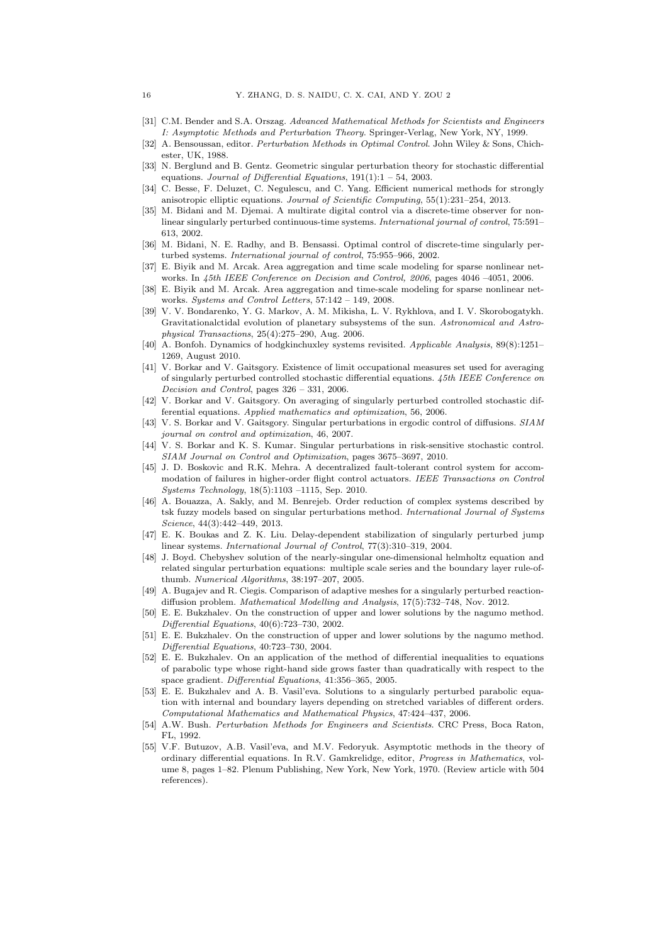- [31] C.M. Bender and S.A. Orszag. *Advanced Mathematical Methods for Scientists and Engineers I: Asymptotic Methods and Perturbation Theory*. Springer-Verlag, New York, NY, 1999.
- [32] A. Bensoussan, editor. *Perturbation Methods in Optimal Control*. John Wiley & Sons, Chichester, UK, 1988.
- [33] N. Berglund and B. Gentz. Geometric singular perturbation theory for stochastic differential equations. *Journal of Differential Equations*, 191(1):1 – 54, 2003.
- [34] C. Besse, F. Deluzet, C. Negulescu, and C. Yang. Efficient numerical methods for strongly anisotropic elliptic equations. *Journal of Scientific Computing*, 55(1):231–254, 2013.
- [35] M. Bidani and M. Djemai. A multirate digital control via a discrete-time observer for nonlinear singularly perturbed continuous-time systems. *International journal of control*, 75:591– 613, 2002.
- [36] M. Bidani, N. E. Radhy, and B. Bensassi. Optimal control of discrete-time singularly perturbed systems. *International journal of control*, 75:955–966, 2002.
- [37] E. Biyik and M. Arcak. Area aggregation and time scale modeling for sparse nonlinear networks. In *45th IEEE Conference on Decision and Control, 2006*, pages 4046 –4051, 2006.
- [38] E. Biyik and M. Arcak. Area aggregation and time-scale modeling for sparse nonlinear networks. *Systems and Control Letters*, 57:142 – 149, 2008.
- [39] V. V. Bondarenko, Y. G. Markov, A. M. Mikisha, L. V. Rykhlova, and I. V. Skorobogatykh. Gravitationalctidal evolution of planetary subsystems of the sun. *Astronomical and Astrophysical Transactions*, 25(4):275–290, Aug. 2006.
- [40] A. Bonfoh. Dynamics of hodgkinchuxley systems revisited. *Applicable Analysis*, 89(8):1251– 1269, August 2010.
- [41] V. Borkar and V. Gaitsgory. Existence of limit occupational measures set used for averaging of singularly perturbed controlled stochastic differential equations. *45th IEEE Conference on Decision and Control*, pages 326 – 331, 2006.
- [42] V. Borkar and V. Gaitsgory. On averaging of singularly perturbed controlled stochastic differential equations. *Applied mathematics and optimization*, 56, 2006.
- [43] V. S. Borkar and V. Gaitsgory. Singular perturbations in ergodic control of diffusions. *SIAM journal on control and optimization*, 46, 2007.
- [44] V. S. Borkar and K. S. Kumar. Singular perturbations in risk-sensitive stochastic control. *SIAM Journal on Control and Optimization*, pages 3675–3697, 2010.
- [45] J. D. Boskovic and R.K. Mehra. A decentralized fault-tolerant control system for accommodation of failures in higher-order flight control actuators. *IEEE Transactions on Control Systems Technology*, 18(5):1103 –1115, Sep. 2010.
- [46] A. Bouazza, A. Sakly, and M. Benrejeb. Order reduction of complex systems described by tsk fuzzy models based on singular perturbations method. *International Journal of Systems Science*, 44(3):442–449, 2013.
- [47] E. K. Boukas and Z. K. Liu. Delay-dependent stabilization of singularly perturbed jump linear systems. *International Journal of Control*, 77(3):310–319, 2004.
- [48] J. Boyd. Chebyshev solution of the nearly-singular one-dimensional helmholtz equation and related singular perturbation equations: multiple scale series and the boundary layer rule-ofthumb. *Numerical Algorithms*, 38:197–207, 2005.
- [49] A. Bugajev and R. Ciegis. Comparison of adaptive meshes for a singularly perturbed reactiondiffusion problem. *Mathematical Modelling and Analysis*, 17(5):732–748, Nov. 2012.
- [50] E. E. Bukzhalev. On the construction of upper and lower solutions by the nagumo method. *Differential Equations*, 40(6):723–730, 2002.
- [51] E. E. Bukzhalev. On the construction of upper and lower solutions by the nagumo method. *Differential Equations*, 40:723–730, 2004.
- [52] E. E. Bukzhalev. On an application of the method of differential inequalities to equations of parabolic type whose right-hand side grows faster than quadratically with respect to the space gradient. *Differential Equations*, 41:356–365, 2005.
- [53] E. E. Bukzhalev and A. B. Vasil'eva. Solutions to a singularly perturbed parabolic equation with internal and boundary layers depending on stretched variables of different orders. *Computational Mathematics and Mathematical Physics*, 47:424–437, 2006.
- [54] A.W. Bush. *Perturbation Methods for Engineers and Scientists*. CRC Press, Boca Raton, FL, 1992.
- [55] V.F. Butuzov, A.B. Vasil'eva, and M.V. Fedoryuk. Asymptotic methods in the theory of ordinary differential equations. In R.V. Gamkrelidge, editor, *Progress in Mathematics*, volume 8, pages 1–82. Plenum Publishing, New York, New York, 1970. (Review article with 504 references).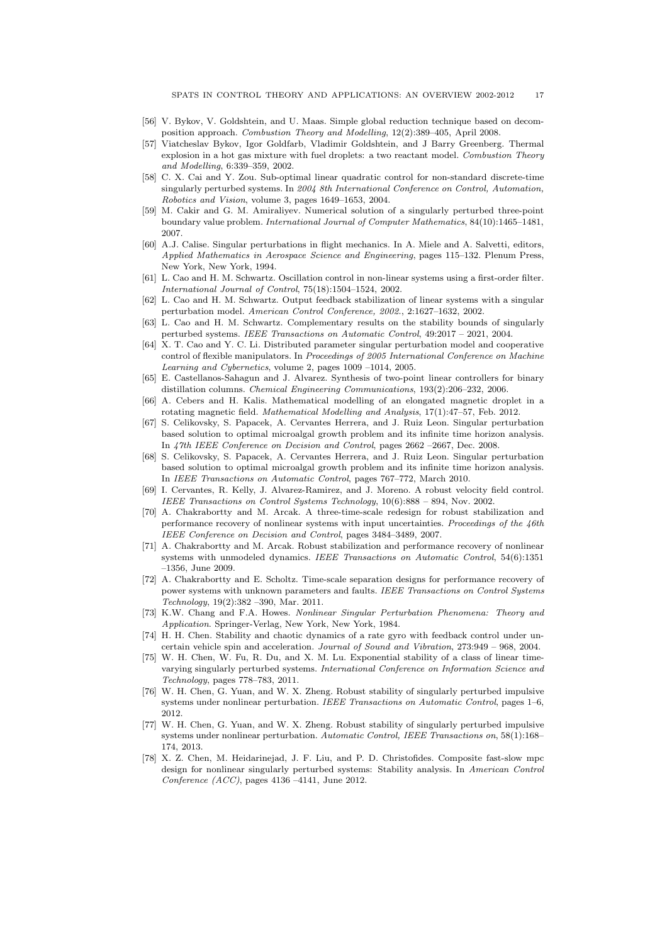- [56] V. Bykov, V. Goldshtein, and U. Maas. Simple global reduction technique based on decomposition approach. *Combustion Theory and Modelling*, 12(2):389–405, April 2008.
- [57] Viatcheslav Bykov, Igor Goldfarb, Vladimir Goldshtein, and J Barry Greenberg. Thermal explosion in a hot gas mixture with fuel droplets: a two reactant model. *Combustion Theory and Modelling*, 6:339–359, 2002.
- [58] C. X. Cai and Y. Zou. Sub-optimal linear quadratic control for non-standard discrete-time singularly perturbed systems. In *2004 8th International Conference on Control, Automation, Robotics and Vision*, volume 3, pages 1649–1653, 2004.
- [59] M. Cakir and G. M. Amiraliyev. Numerical solution of a singularly perturbed three-point boundary value problem. *International Journal of Computer Mathematics*, 84(10):1465–1481, 2007.
- [60] A.J. Calise. Singular perturbations in flight mechanics. In A. Miele and A. Salvetti, editors, *Applied Mathematics in Aerospace Science and Engineering*, pages 115–132. Plenum Press, New York, New York, 1994.
- [61] L. Cao and H. M. Schwartz. Oscillation control in non-linear systems using a first-order filter. *International Journal of Control*, 75(18):1504–1524, 2002.
- [62] L. Cao and H. M. Schwartz. Output feedback stabilization of linear systems with a singular perturbation model. *American Control Conference, 2002.*, 2:1627–1632, 2002.
- [63] L. Cao and H. M. Schwartz. Complementary results on the stability bounds of singularly perturbed systems. *IEEE Transactions on Automatic Control*, 49:2017 – 2021, 2004.
- [64] X. T. Cao and Y. C. Li. Distributed parameter singular perturbation model and cooperative control of flexible manipulators. In *Proceedings of 2005 International Conference on Machine Learning and Cybernetics*, volume 2, pages 1009 –1014, 2005.
- [65] E. Castellanos-Sahagun and J. Alvarez. Synthesis of two-point linear controllers for binary distillation columns. *Chemical Engineering Communications*, 193(2):206–232, 2006.
- [66] A. Cebers and H. Kalis. Mathematical modelling of an elongated magnetic droplet in a rotating magnetic field. *Mathematical Modelling and Analysis*, 17(1):47–57, Feb. 2012.
- [67] S. Celikovsky, S. Papacek, A. Cervantes Herrera, and J. Ruiz Leon. Singular perturbation based solution to optimal microalgal growth problem and its infinite time horizon analysis. In *47th IEEE Conference on Decision and Control*, pages 2662 –2667, Dec. 2008.
- [68] S. Celikovsky, S. Papacek, A. Cervantes Herrera, and J. Ruiz Leon. Singular perturbation based solution to optimal microalgal growth problem and its infinite time horizon analysis. In *IEEE Transactions on Automatic Control*, pages 767–772, March 2010.
- [69] I. Cervantes, R. Kelly, J. Alvarez-Ramirez, and J. Moreno. A robust velocity field control. *IEEE Transactions on Control Systems Technology*, 10(6):888 – 894, Nov. 2002.
- [70] A. Chakrabortty and M. Arcak. A three-time-scale redesign for robust stabilization and performance recovery of nonlinear systems with input uncertainties. *Proceedings of the 46th IEEE Conference on Decision and Control*, pages 3484–3489, 2007.
- [71] A. Chakrabortty and M. Arcak. Robust stabilization and performance recovery of nonlinear systems with unmodeled dynamics. *IEEE Transactions on Automatic Control*, 54(6):1351 –1356, June 2009.
- [72] A. Chakrabortty and E. Scholtz. Time-scale separation designs for performance recovery of power systems with unknown parameters and faults. *IEEE Transactions on Control Systems Technology*, 19(2):382 –390, Mar. 2011.
- [73] K.W. Chang and F.A. Howes. *Nonlinear Singular Perturbation Phenomena: Theory and Application*. Springer-Verlag, New York, New York, 1984.
- [74] H. H. Chen. Stability and chaotic dynamics of a rate gyro with feedback control under uncertain vehicle spin and acceleration. *Journal of Sound and Vibration*, 273:949 – 968, 2004.
- [75] W. H. Chen, W. Fu, R. Du, and X. M. Lu. Exponential stability of a class of linear timevarying singularly perturbed systems. *International Conference on Information Science and Technology*, pages 778–783, 2011.
- [76] W. H. Chen, G. Yuan, and W. X. Zheng. Robust stability of singularly perturbed impulsive systems under nonlinear perturbation. *IEEE Transactions on Automatic Control*, pages 1–6, 2012.
- [77] W. H. Chen, G. Yuan, and W. X. Zheng. Robust stability of singularly perturbed impulsive systems under nonlinear perturbation. *Automatic Control, IEEE Transactions on*, 58(1):168– 174, 2013.
- [78] X. Z. Chen, M. Heidarinejad, J. F. Liu, and P. D. Christofides. Composite fast-slow mpc design for nonlinear singularly perturbed systems: Stability analysis. In *American Control Conference (ACC)*, pages 4136 –4141, June 2012.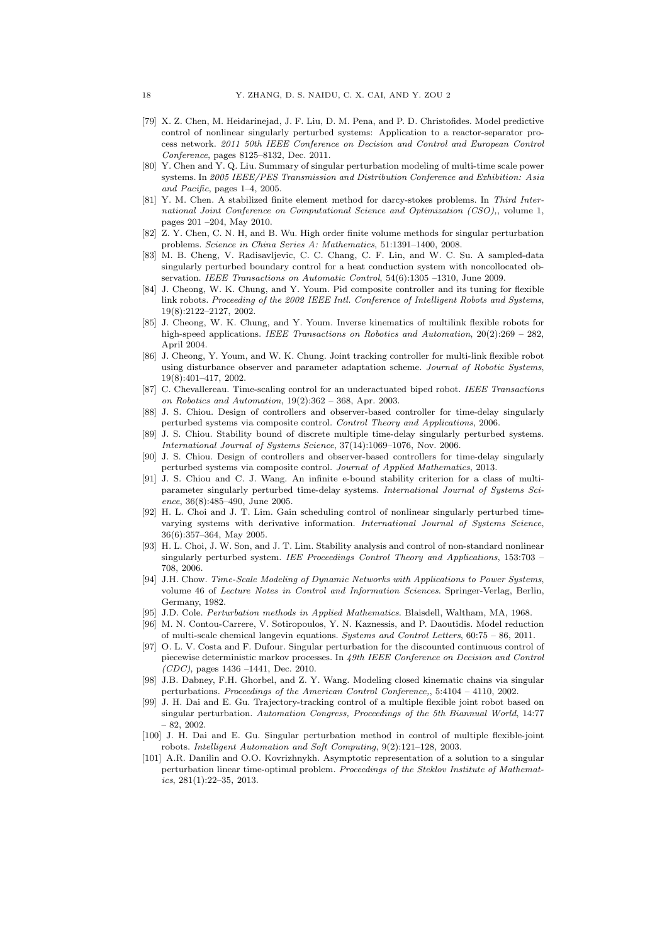- [79] X. Z. Chen, M. Heidarinejad, J. F. Liu, D. M. Pena, and P. D. Christofides. Model predictive control of nonlinear singularly perturbed systems: Application to a reactor-separator process network. *2011 50th IEEE Conference on Decision and Control and European Control Conference*, pages 8125–8132, Dec. 2011.
- [80] Y. Chen and Y. Q. Liu. Summary of singular perturbation modeling of multi-time scale power systems. In *2005 IEEE/PES Transmission and Distribution Conference and Exhibition: Asia and Pacific*, pages 1–4, 2005.
- [81] Y. M. Chen. A stabilized finite element method for darcy-stokes problems. In *Third International Joint Conference on Computational Science and Optimization (CSO),*, volume 1, pages 201 –204, May 2010.
- [82] Z. Y. Chen, C. N. H, and B. Wu. High order finite volume methods for singular perturbation problems. *Science in China Series A: Mathematics*, 51:1391–1400, 2008.
- [83] M. B. Cheng, V. Radisavljevic, C. C. Chang, C. F. Lin, and W. C. Su. A sampled-data singularly perturbed boundary control for a heat conduction system with noncollocated observation. *IEEE Transactions on Automatic Control*, 54(6):1305 –1310, June 2009.
- [84] J. Cheong, W. K. Chung, and Y. Youm. Pid composite controller and its tuning for flexible link robots. *Proceeding of the 2002 IEEE Intl. Conference of Intelligent Robots and Systems*, 19(8):2122–2127, 2002.
- [85] J. Cheong, W. K. Chung, and Y. Youm. Inverse kinematics of multilink flexible robots for high-speed applications. *IEEE Transactions on Robotics and Automation*, 20(2):269 – 282, April 2004.
- [86] J. Cheong, Y. Youm, and W. K. Chung. Joint tracking controller for multi-link flexible robot using disturbance observer and parameter adaptation scheme. *Journal of Robotic Systems*, 19(8):401–417, 2002.
- [87] C. Chevallereau. Time-scaling control for an underactuated biped robot. *IEEE Transactions on Robotics and Automation*, 19(2):362 – 368, Apr. 2003.
- [88] J. S. Chiou. Design of controllers and observer-based controller for time-delay singularly perturbed systems via composite control. *Control Theory and Applications*, 2006.
- [89] J. S. Chiou. Stability bound of discrete multiple time-delay singularly perturbed systems. *International Journal of Systems Science*, 37(14):1069–1076, Nov. 2006.
- [90] J. S. Chiou. Design of controllers and observer-based controllers for time-delay singularly perturbed systems via composite control. *Journal of Applied Mathematics*, 2013.
- [91] J. S. Chiou and C. J. Wang. An infinite e-bound stability criterion for a class of multiparameter singularly perturbed time-delay systems. *International Journal of Systems Science*, 36(8):485–490, June 2005.
- [92] H. L. Choi and J. T. Lim. Gain scheduling control of nonlinear singularly perturbed timevarying systems with derivative information. *International Journal of Systems Science*, 36(6):357–364, May 2005.
- [93] H. L. Choi, J. W. Son, and J. T. Lim. Stability analysis and control of non-standard nonlinear singularly perturbed system. *IEE Proceedings Control Theory and Applications*, 153:703 – 708, 2006.
- [94] J.H. Chow. *Time-Scale Modeling of Dynamic Networks with Applications to Power Systems*, volume 46 of *Lecture Notes in Control and Information Sciences*. Springer-Verlag, Berlin, Germany, 1982.
- [95] J.D. Cole. *Perturbation methods in Applied Mathematics*. Blaisdell, Waltham, MA, 1968.
- [96] M. N. Contou-Carrere, V. Sotiropoulos, Y. N. Kaznessis, and P. Daoutidis. Model reduction of multi-scale chemical langevin equations. *Systems and Control Letters*, 60:75 – 86, 2011.
- [97] O. L. V. Costa and F. Dufour. Singular perturbation for the discounted continuous control of piecewise deterministic markov processes. In *49th IEEE Conference on Decision and Control (CDC)*, pages 1436 –1441, Dec. 2010.
- [98] J.B. Dabney, F.H. Ghorbel, and Z. Y. Wang. Modeling closed kinematic chains via singular perturbations. *Proceedings of the American Control Conference,*, 5:4104 – 4110, 2002.
- [99] J. H. Dai and E. Gu. Trajectory-tracking control of a multiple flexible joint robot based on singular perturbation. *Automation Congress, Proceedings of the 5th Biannual World*, 14:77  $-82, 2002.$
- [100] J. H. Dai and E. Gu. Singular perturbation method in control of multiple flexible-joint robots. *Intelligent Automation and Soft Computing*, 9(2):121–128, 2003.
- [101] A.R. Danilin and O.O. Kovrizhnykh. Asymptotic representation of a solution to a singular perturbation linear time-optimal problem. *Proceedings of the Steklov Institute of Mathematics*, 281(1):22–35, 2013.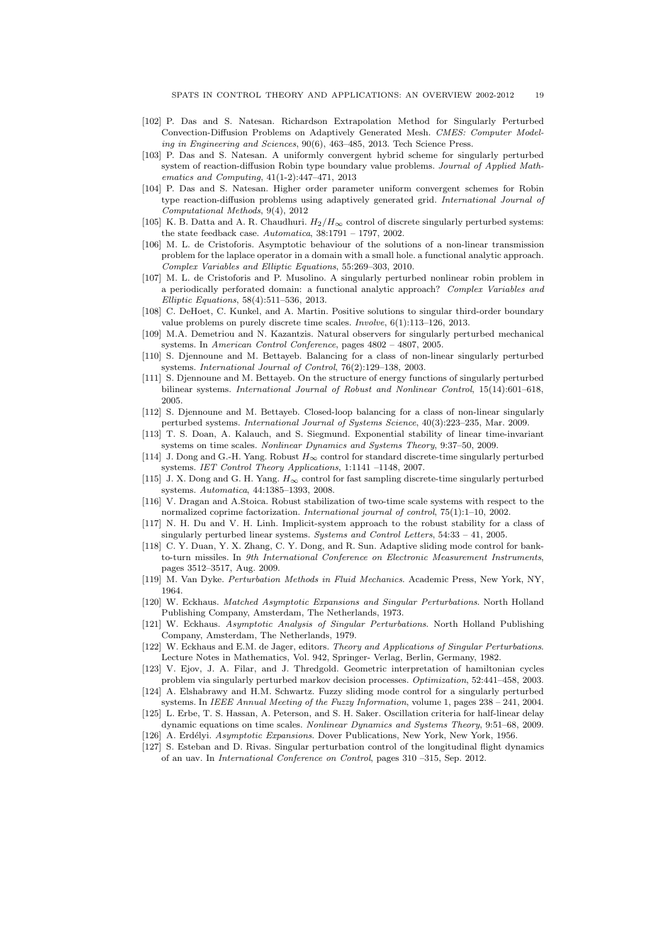- [102] P. Das and S. Natesan. Richardson Extrapolation Method for Singularly Perturbed Convection-Diffusion Problems on Adaptively Generated Mesh. *CMES: Computer Modeling in Engineering and Sciences*, 90(6), 463–485, 2013. Tech Science Press.
- [103] P. Das and S. Natesan. A uniformly convergent hybrid scheme for singularly perturbed system of reaction-diffusion Robin type boundary value problems. *Journal of Applied Mathematics and Computing*, 41(1-2):447–471, 2013
- [104] P. Das and S. Natesan. Higher order parameter uniform convergent schemes for Robin type reaction-diffusion problems using adaptively generated grid. *International Journal of Computational Methods*, 9(4), 2012
- [105] K. B. Datta and A. R. Chaudhuri.  $H_2/H_{\infty}$  control of discrete singularly perturbed systems: the state feedback case. *Automatica*, 38:1791 – 1797, 2002.
- [106] M. L. de Cristoforis. Asymptotic behaviour of the solutions of a non-linear transmission problem for the laplace operator in a domain with a small hole. a functional analytic approach. *Complex Variables and Elliptic Equations*, 55:269–303, 2010.
- [107] M. L. de Cristoforis and P. Musolino. A singularly perturbed nonlinear robin problem in a periodically perforated domain: a functional analytic approach? *Complex Variables and Elliptic Equations*, 58(4):511–536, 2013.
- [108] C. DeHoet, C. Kunkel, and A. Martin. Positive solutions to singular third-order boundary value problems on purely discrete time scales. *Involve*, 6(1):113–126, 2013.
- [109] M.A. Demetriou and N. Kazantzis. Natural observers for singularly perturbed mechanical systems. In *American Control Conference*, pages 4802 – 4807, 2005.
- [110] S. Djennoune and M. Bettayeb. Balancing for a class of non-linear singularly perturbed systems. *International Journal of Control*, 76(2):129–138, 2003.
- [111] S. Djennoune and M. Bettayeb. On the structure of energy functions of singularly perturbed bilinear systems. *International Journal of Robust and Nonlinear Control*, 15(14):601–618, 2005.
- [112] S. Djennoune and M. Bettayeb. Closed-loop balancing for a class of non-linear singularly perturbed systems. *International Journal of Systems Science*, 40(3):223–235, Mar. 2009.
- [113] T. S. Doan, A. Kalauch, and S. Siegmund. Exponential stability of linear time-invariant systems on time scales. *Nonlinear Dynamics and Systems Theory*, 9:37–50, 2009.
- [114] J. Dong and G.-H. Yang. Robust  $H_{\infty}$  control for standard discrete-time singularly perturbed systems. *IET Control Theory Applications*, 1:1141 –1148, 2007.
- [115] J. X. Dong and G. H. Yang.  $H_{\infty}$  control for fast sampling discrete-time singularly perturbed systems. *Automatica*, 44:1385–1393, 2008.
- [116] V. Dragan and A.Stoica. Robust stabilization of two-time scale systems with respect to the normalized coprime factorization. *International journal of control*, 75(1):1–10, 2002.
- [117] N. H. Du and V. H. Linh. Implicit-system approach to the robust stability for a class of singularly perturbed linear systems. *Systems and Control Letters*, 54:33 – 41, 2005.
- [118] C. Y. Duan, Y. X. Zhang, C. Y. Dong, and R. Sun. Adaptive sliding mode control for bankto-turn missiles. In *9th International Conference on Electronic Measurement Instruments*, pages 3512–3517, Aug. 2009.
- [119] M. Van Dyke. *Perturbation Methods in Fluid Mechanics*. Academic Press, New York, NY, 1964.
- [120] W. Eckhaus. *Matched Asymptotic Expansions and Singular Perturbations*. North Holland Publishing Company, Amsterdam, The Netherlands, 1973.
- [121] W. Eckhaus. *Asymptotic Analysis of Singular Perturbations*. North Holland Publishing Company, Amsterdam, The Netherlands, 1979.
- [122] W. Eckhaus and E.M. de Jager, editors. *Theory and Applications of Singular Perturbations*. Lecture Notes in Mathematics, Vol. 942, Springer- Verlag, Berlin, Germany, 1982.
- [123] V. Ejov, J. A. Filar, and J. Thredgold. Geometric interpretation of hamiltonian cycles problem via singularly perturbed markov decision processes. *Optimization*, 52:441–458, 2003.
- [124] A. Elshabrawy and H.M. Schwartz. Fuzzy sliding mode control for a singularly perturbed systems. In *IEEE Annual Meeting of the Fuzzy Information*, volume 1, pages 238 – 241, 2004.
- [125] L. Erbe, T. S. Hassan, A. Peterson, and S. H. Saker. Oscillation criteria for half-linear delay dynamic equations on time scales. *Nonlinear Dynamics and Systems Theory*, 9:51–68, 2009.
- [126] A. Erd´elyi. *Asymptotic Expansions*. Dover Publications, New York, New York, 1956.
- [127] S. Esteban and D. Rivas. Singular perturbation control of the longitudinal flight dynamics of an uav. In *International Conference on Control*, pages 310 –315, Sep. 2012.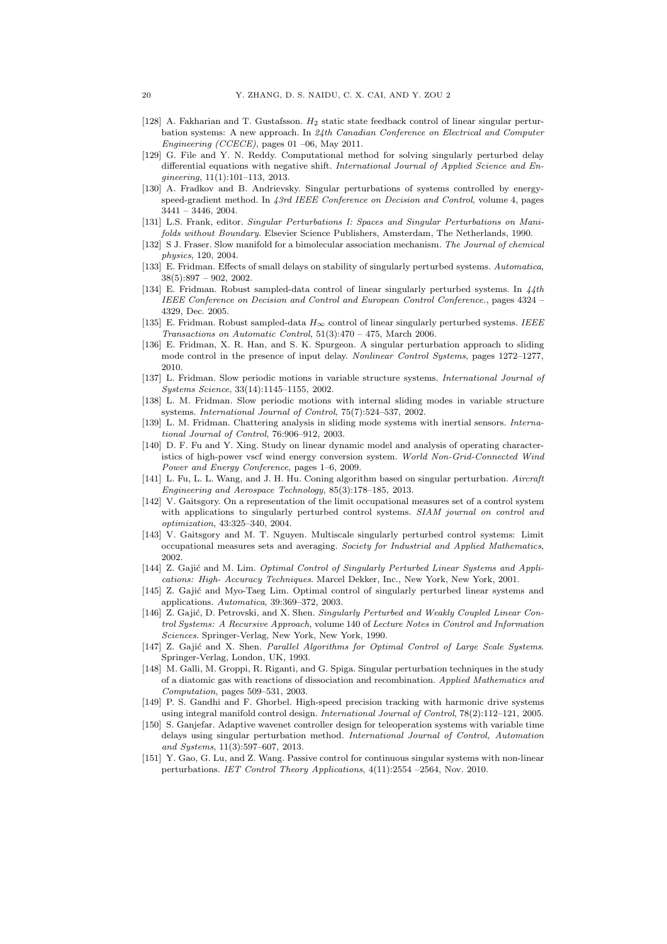- [128] A. Fakharian and T. Gustafsson. H2 static state feedback control of linear singular perturbation systems: A new approach. In *24th Canadian Conference on Electrical and Computer Engineering (CCECE)*, pages 01 –06, May 2011.
- [129] G. File and Y. N. Reddy. Computational method for solving singularly perturbed delay differential equations with negative shift. *International Journal of Applied Science and Engineering*, 11(1):101–113, 2013.
- [130] A. Fradkov and B. Andrievsky. Singular perturbations of systems controlled by energyspeed-gradient method. In *43rd IEEE Conference on Decision and Control*, volume 4, pages 3441 – 3446, 2004.
- [131] L.S. Frank, editor. *Singular Perturbations I: Spaces and Singular Perturbations on Manifolds without Boundary*. Elsevier Science Publishers, Amsterdam, The Netherlands, 1990.
- [132] S J. Fraser. Slow manifold for a bimolecular association mechanism. *The Journal of chemical physics*, 120, 2004.
- [133] E. Fridman. Effects of small delays on stability of singularly perturbed systems. *Automatica*,  $38(5):897 - 902, 2002.$
- [134] E. Fridman. Robust sampled-data control of linear singularly perturbed systems. In *44th IEEE Conference on Decision and Control and European Control Conference.*, pages 4324 – 4329, Dec. 2005.
- [135] E. Fridman. Robust sampled-data H∞ control of linear singularly perturbed systems. *IEEE Transactions on Automatic Control*, 51(3):470 – 475, March 2006.
- [136] E. Fridman, X. R. Han, and S. K. Spurgeon. A singular perturbation approach to sliding mode control in the presence of input delay. *Nonlinear Control Systems*, pages 1272–1277, 2010.
- [137] L. Fridman. Slow periodic motions in variable structure systems. *International Journal of Systems Science*, 33(14):1145–1155, 2002.
- [138] L. M. Fridman. Slow periodic motions with internal sliding modes in variable structure systems. *International Journal of Control*, 75(7):524–537, 2002.
- [139] L. M. Fridman. Chattering analysis in sliding mode systems with inertial sensors. *International Journal of Control*, 76:906–912, 2003.
- [140] D. F. Fu and Y. Xing. Study on linear dynamic model and analysis of operating characteristics of high-power vscf wind energy conversion system. *World Non-Grid-Connected Wind Power and Energy Conference*, pages 1–6, 2009.
- [141] L. Fu, L. L. Wang, and J. H. Hu. Coning algorithm based on singular perturbation. *Aircraft Engineering and Aerospace Technology*, 85(3):178–185, 2013.
- [142] V. Gaitsgory. On a representation of the limit occupational measures set of a control system with applications to singularly perturbed control systems. *SIAM journal on control and optimization*, 43:325–340, 2004.
- [143] V. Gaitsgory and M. T. Nguyen. Multiscale singularly perturbed control systems: Limit occupational measures sets and averaging. *Society for Industrial and Applied Mathematics*, 2002.
- [144] Z. Gajić and M. Lim. *Optimal Control of Singularly Perturbed Linear Systems and Applications: High- Accuracy Techniques*. Marcel Dekker, Inc., New York, New York, 2001.
- [145] Z. Gajić and Myo-Taeg Lim. Optimal control of singularly perturbed linear systems and applications. *Automatica*, 39:369–372, 2003.
- [146] Z. Gajić, D. Petrovski, and X. Shen. *Singularly Perturbed and Weakly Coupled Linear Control Systems: A Recursive Approach*, volume 140 of *Lecture Notes in Control and Information Sciences*. Springer-Verlag, New York, New York, 1990.
- [147] Z. Gajić and X. Shen. *Parallel Algorithms for Optimal Control of Large Scale Systems*. Springer-Verlag, London, UK, 1993.
- [148] M. Galli, M. Groppi, R. Riganti, and G. Spiga. Singular perturbation techniques in the study of a diatomic gas with reactions of dissociation and recombination. *Applied Mathematics and Computation*, pages 509–531, 2003.
- [149] P. S. Gandhi and F. Ghorbel. High-speed precision tracking with harmonic drive systems using integral manifold control design. *International Journal of Control*, 78(2):112–121, 2005.
- [150] S. Ganjefar. Adaptive wavenet controller design for teleoperation systems with variable time delays using singular perturbation method. *International Journal of Control, Automation and Systems*, 11(3):597–607, 2013.
- [151] Y. Gao, G. Lu, and Z. Wang. Passive control for continuous singular systems with non-linear perturbations. *IET Control Theory Applications*, 4(11):2554 –2564, Nov. 2010.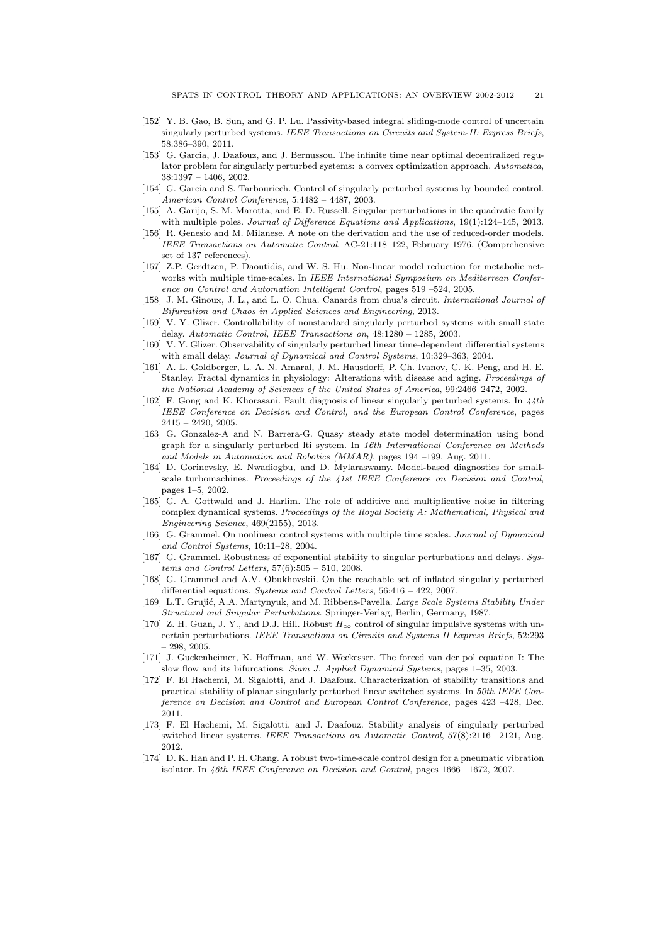- [152] Y. B. Gao, B. Sun, and G. P. Lu. Passivity-based integral sliding-mode control of uncertain singularly perturbed systems. *IEEE Transactions on Circuits and System-II: Express Briefs*, 58:386–390, 2011.
- [153] G. Garcia, J. Daafouz, and J. Bernussou. The infinite time near optimal decentralized regulator problem for singularly perturbed systems: a convex optimization approach. *Automatica*, 38:1397 – 1406, 2002.
- [154] G. Garcia and S. Tarbouriech. Control of singularly perturbed systems by bounded control. *American Control Conference*, 5:4482 – 4487, 2003.
- [155] A. Garijo, S. M. Marotta, and E. D. Russell. Singular perturbations in the quadratic family with multiple poles. *Journal of Difference Equations and Applications*, 19(1):124–145, 2013.
- [156] R. Genesio and M. Milanese. A note on the derivation and the use of reduced-order models. *IEEE Transactions on Automatic Control*, AC-21:118–122, February 1976. (Comprehensive set of 137 references).
- [157] Z.P. Gerdtzen, P. Daoutidis, and W. S. Hu. Non-linear model reduction for metabolic networks with multiple time-scales. In *IEEE International Symposium on Mediterrean Conference on Control and Automation Intelligent Control*, pages 519 –524, 2005.
- [158] J. M. Ginoux, J. L., and L. O. Chua. Canards from chua's circuit. *International Journal of Bifurcation and Chaos in Applied Sciences and Engineering*, 2013.
- [159] V. Y. Glizer. Controllability of nonstandard singularly perturbed systems with small state delay. *Automatic Control, IEEE Transactions on*, 48:1280 – 1285, 2003.
- [160] V. Y. Glizer. Observability of singularly perturbed linear time-dependent differential systems with small delay. *Journal of Dynamical and Control Systems*, 10:329–363, 2004.
- [161] A. L. Goldberger, L. A. N. Amaral, J. M. Hausdorff, P. Ch. Ivanov, C. K. Peng, and H. E. Stanley. Fractal dynamics in physiology: Alterations with disease and aging. *Proceedings of the National Academy of Sciences of the United States of America*, 99:2466–2472, 2002.
- [162] F. Gong and K. Khorasani. Fault diagnosis of linear singularly perturbed systems. In *44th IEEE Conference on Decision and Control, and the European Control Conference*, pages  $2415 - 2420$ , 2005.
- [163] G. Gonzalez-A and N. Barrera-G. Quasy steady state model determination using bond graph for a singularly perturbed lti system. In *16th International Conference on Methods and Models in Automation and Robotics (MMAR)*, pages 194 –199, Aug. 2011.
- [164] D. Gorinevsky, E. Nwadiogbu, and D. Mylaraswamy. Model-based diagnostics for smallscale turbomachines. *Proceedings of the 41st IEEE Conference on Decision and Control*, pages 1–5, 2002.
- [165] G. A. Gottwald and J. Harlim. The role of additive and multiplicative noise in filtering complex dynamical systems. *Proceedings of the Royal Society A: Mathematical, Physical and Engineering Science*, 469(2155), 2013.
- [166] G. Grammel. On nonlinear control systems with multiple time scales. *Journal of Dynamical and Control Systems*, 10:11–28, 2004.
- [167] G. Grammel. Robustness of exponential stability to singular perturbations and delays. *Systems and Control Letters*, 57(6):505 – 510, 2008.
- [168] G. Grammel and A.V. Obukhovskii. On the reachable set of inflated singularly perturbed differential equations. *Systems and Control Letters*, 56:416 – 422, 2007.
- [169] L.T. Gruji´c, A.A. Martynyuk, and M. Ribbens-Pavella. *Large Scale Systems Stability Under Structural and Singular Perturbations*. Springer-Verlag, Berlin, Germany, 1987.
- [170] Z. H. Guan, J. Y., and D.J. Hill. Robust  $H_{\infty}$  control of singular impulsive systems with uncertain perturbations. *IEEE Transactions on Circuits and Systems II Express Briefs*, 52:293  $-298, 2005.$
- [171] J. Guckenheimer, K. Hoffman, and W. Weckesser. The forced van der pol equation I: The slow flow and its bifurcations. *Siam J. Applied Dynamical Systems*, pages 1–35, 2003.
- [172] F. El Hachemi, M. Sigalotti, and J. Daafouz. Characterization of stability transitions and practical stability of planar singularly perturbed linear switched systems. In *50th IEEE Conference on Decision and Control and European Control Conference*, pages 423 –428, Dec. 2011.
- [173] F. El Hachemi, M. Sigalotti, and J. Daafouz. Stability analysis of singularly perturbed switched linear systems. *IEEE Transactions on Automatic Control*, 57(8):2116 –2121, Aug. 2012.
- [174] D. K. Han and P. H. Chang. A robust two-time-scale control design for a pneumatic vibration isolator. In *46th IEEE Conference on Decision and Control*, pages 1666 –1672, 2007.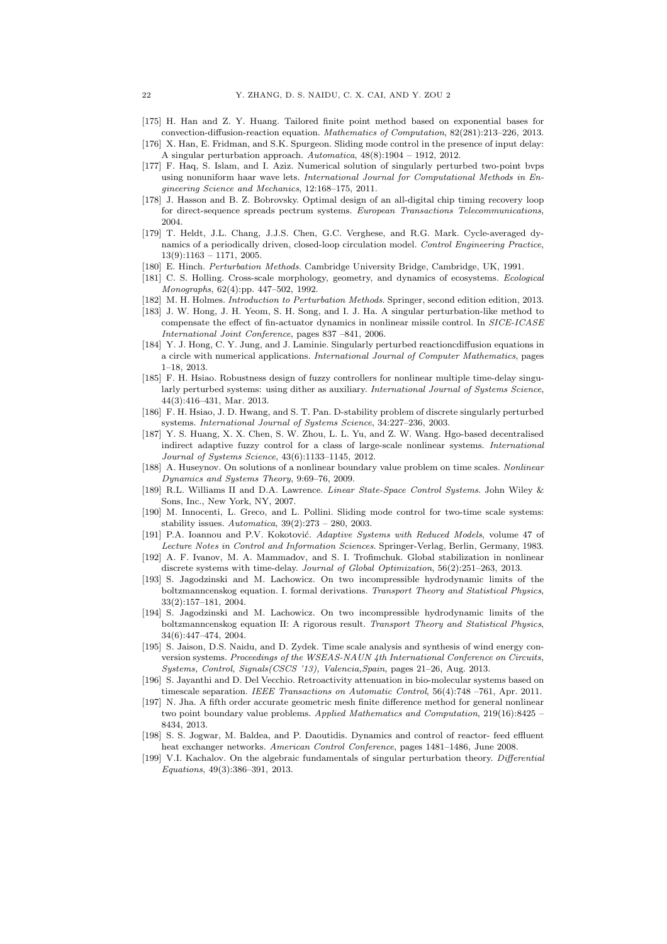- [175] H. Han and Z. Y. Huang. Tailored finite point method based on exponential bases for convection-diffusion-reaction equation. *Mathematics of Computation*, 82(281):213–226, 2013.
- [176] X. Han, E. Fridman, and S.K. Spurgeon. Sliding mode control in the presence of input delay: A singular perturbation approach. *Automatica*, 48(8):1904 – 1912, 2012.
- [177] F. Haq, S. Islam, and I. Aziz. Numerical solution of singularly perturbed two-point bvps using nonuniform haar wave lets. *International Journal for Computational Methods in Engineering Science and Mechanics*, 12:168–175, 2011.
- [178] J. Hasson and B. Z. Bobrovsky. Optimal design of an all-digital chip timing recovery loop for direct-sequence spreads pectrum systems. *European Transactions Telecommunications*, 2004.
- [179] T. Heldt, J.L. Chang, J.J.S. Chen, G.C. Verghese, and R.G. Mark. Cycle-averaged dynamics of a periodically driven, closed-loop circulation model. *Control Engineering Practice*,  $13(9) \cdot 1163 - 1171$ , 2005.
- [180] E. Hinch. *Perturbation Methods*. Cambridge University Bridge, Cambridge, UK, 1991.
- [181] C. S. Holling. Cross-scale morphology, geometry, and dynamics of ecosystems. *Ecological Monographs*, 62(4):pp. 447–502, 1992.
- [182] M. H. Holmes. *Introduction to Perturbation Methods*. Springer, second edition edition, 2013.
- [183] J. W. Hong, J. H. Yeom, S. H. Song, and I. J. Ha. A singular perturbation-like method to compensate the effect of fin-actuator dynamics in nonlinear missile control. In *SICE-ICASE International Joint Conference*, pages 837 –841, 2006.
- [184] Y. J. Hong, C. Y. Jung, and J. Laminie. Singularly perturbed reactioncdiffusion equations in a circle with numerical applications. *International Journal of Computer Mathematics*, pages 1–18, 2013.
- [185] F. H. Hsiao. Robustness design of fuzzy controllers for nonlinear multiple time-delay singularly perturbed systems: using dither as auxiliary. *International Journal of Systems Science*, 44(3):416–431, Mar. 2013.
- [186] F. H. Hsiao, J. D. Hwang, and S. T. Pan. D-stability problem of discrete singularly perturbed systems. *International Journal of Systems Science*, 34:227–236, 2003.
- [187] Y. S. Huang, X. X. Chen, S. W. Zhou, L. L. Yu, and Z. W. Wang. Hgo-based decentralised indirect adaptive fuzzy control for a class of large-scale nonlinear systems. *International Journal of Systems Science*, 43(6):1133–1145, 2012.
- [188] A. Huseynov. On solutions of a nonlinear boundary value problem on time scales. *Nonlinear Dynamics and Systems Theory*, 9:69–76, 2009.
- [189] R.L. Williams II and D.A. Lawrence. *Linear State-Space Control Systems*. John Wiley & Sons, Inc., New York, NY, 2007.
- [190] M. Innocenti, L. Greco, and L. Pollini. Sliding mode control for two-time scale systems: stability issues. *Automatica*, 39(2):273 – 280, 2003.
- [191] P.A. Ioannou and P.V. Kokotović. *Adaptive Systems with Reduced Models*, volume 47 of *Lecture Notes in Control and Information Sciences*. Springer-Verlag, Berlin, Germany, 1983.
- [192] A. F. Ivanov, M. A. Mammadov, and S. I. Trofimchuk. Global stabilization in nonlinear discrete systems with time-delay. *Journal of Global Optimization*, 56(2):251–263, 2013.
- [193] S. Jagodzinski and M. Lachowicz. On two incompressible hydrodynamic limits of the boltzmanncenskog equation. I. formal derivations. *Transport Theory and Statistical Physics*, 33(2):157–181, 2004.
- [194] S. Jagodzinski and M. Lachowicz. On two incompressible hydrodynamic limits of the boltzmanncenskog equation II: A rigorous result. *Transport Theory and Statistical Physics*, 34(6):447–474, 2004.
- [195] S. Jaison, D.S. Naidu, and D. Zydek. Time scale analysis and synthesis of wind energy conversion systems. *Proceedings of the WSEAS-NAUN 4th International Conference on Circuits, Systems, Control, Signals(CSCS '13), Valencia,Spain*, pages 21–26, Aug. 2013.
- [196] S. Jayanthi and D. Del Vecchio. Retroactivity attenuation in bio-molecular systems based on timescale separation. *IEEE Transactions on Automatic Control*, 56(4):748 –761, Apr. 2011.
- [197] N. Jha. A fifth order accurate geometric mesh finite difference method for general nonlinear two point boundary value problems. *Applied Mathematics and Computation*, 219(16):8425 – 8434, 2013.
- [198] S. S. Jogwar, M. Baldea, and P. Daoutidis. Dynamics and control of reactor- feed effluent heat exchanger networks. *American Control Conference*, pages 1481–1486, June 2008.
- [199] V.I. Kachalov. On the algebraic fundamentals of singular perturbation theory. *Differential Equations*, 49(3):386–391, 2013.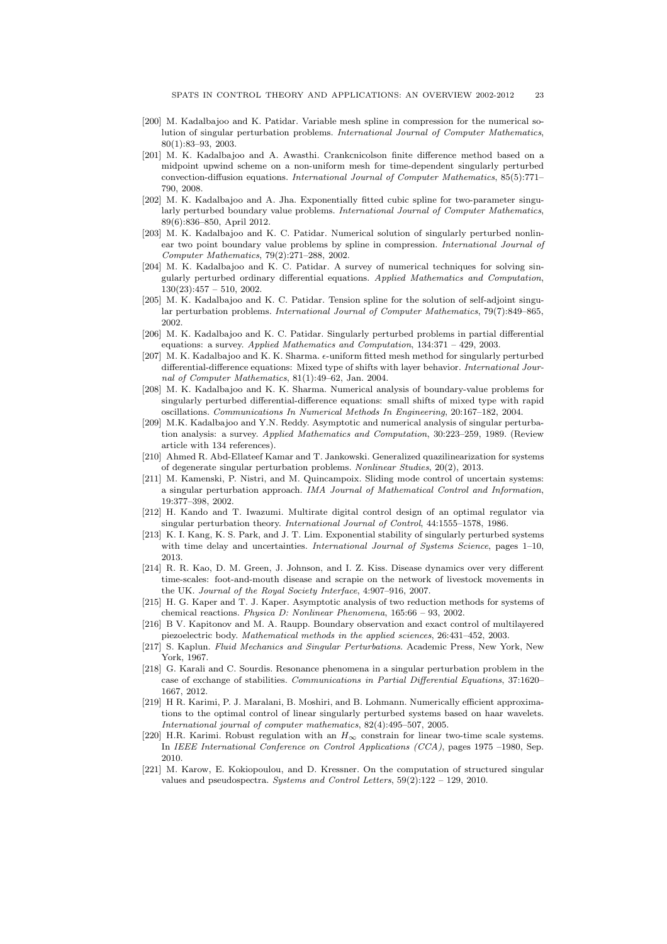- [200] M. Kadalbajoo and K. Patidar. Variable mesh spline in compression for the numerical solution of singular perturbation problems. *International Journal of Computer Mathematics*, 80(1):83–93, 2003.
- [201] M. K. Kadalbajoo and A. Awasthi. Crankcnicolson finite difference method based on a midpoint upwind scheme on a non-uniform mesh for time-dependent singularly perturbed convection-diffusion equations. *International Journal of Computer Mathematics*, 85(5):771– 790, 2008.
- [202] M. K. Kadalbajoo and A. Jha. Exponentially fitted cubic spline for two-parameter singularly perturbed boundary value problems. *International Journal of Computer Mathematics*, 89(6):836–850, April 2012.
- [203] M. K. Kadalbajoo and K. C. Patidar. Numerical solution of singularly perturbed nonlinear two point boundary value problems by spline in compression. *International Journal of Computer Mathematics*, 79(2):271–288, 2002.
- [204] M. K. Kadalbajoo and K. C. Patidar. A survey of numerical techniques for solving singularly perturbed ordinary differential equations. *Applied Mathematics and Computation*,  $130(23):457 - 510, 2002$
- [205] M. K. Kadalbajoo and K. C. Patidar. Tension spline for the solution of self-adjoint singular perturbation problems. *International Journal of Computer Mathematics*, 79(7):849–865, 2002.
- [206] M. K. Kadalbajoo and K. C. Patidar. Singularly perturbed problems in partial differential equations: a survey. *Applied Mathematics and Computation*, 134:371 – 429, 2003.
- [207] M. K. Kadalbajoo and K. K. Sharma.  $\epsilon$ -uniform fitted mesh method for singularly perturbed differential-difference equations: Mixed type of shifts with layer behavior. *International Journal of Computer Mathematics*, 81(1):49–62, Jan. 2004.
- [208] M. K. Kadalbajoo and K. K. Sharma. Numerical analysis of boundary-value problems for singularly perturbed differential-difference equations: small shifts of mixed type with rapid oscillations. *Communications In Numerical Methods In Engineering*, 20:167–182, 2004.
- [209] M.K. Kadalbajoo and Y.N. Reddy. Asymptotic and numerical analysis of singular perturbation analysis: a survey. *Applied Mathematics and Computation*, 30:223–259, 1989. (Review article with 134 references).
- [210] Ahmed R. Abd-Ellateef Kamar and T. Jankowski. Generalized quazilinearization for systems of degenerate singular perturbation problems. *Nonlinear Studies*, 20(2), 2013.
- [211] M. Kamenski, P. Nistri, and M. Quincampoix. Sliding mode control of uncertain systems: a singular perturbation approach. *IMA Journal of Mathematical Control and Information*, 19:377–398, 2002.
- [212] H. Kando and T. Iwazumi. Multirate digital control design of an optimal regulator via singular perturbation theory. *International Journal of Control*, 44:1555–1578, 1986.
- [213] K. I. Kang, K. S. Park, and J. T. Lim. Exponential stability of singularly perturbed systems with time delay and uncertainties. *International Journal of Systems Science*, pages 1–10, 2013.
- [214] R. R. Kao, D. M. Green, J. Johnson, and I. Z. Kiss. Disease dynamics over very different time-scales: foot-and-mouth disease and scrapie on the network of livestock movements in the UK. *Journal of the Royal Society Interface*, 4:907–916, 2007.
- [215] H. G. Kaper and T. J. Kaper. Asymptotic analysis of two reduction methods for systems of chemical reactions. *Physica D: Nonlinear Phenomena*, 165:66 – 93, 2002.
- [216] B V. Kapitonov and M. A. Raupp. Boundary observation and exact control of multilayered piezoelectric body. *Mathematical methods in the applied sciences*, 26:431–452, 2003.
- [217] S. Kaplun. *Fluid Mechanics and Singular Perturbations*. Academic Press, New York, New York, 1967.
- [218] G. Karali and C. Sourdis. Resonance phenomena in a singular perturbation problem in the case of exchange of stabilities. *Communications in Partial Differential Equations*, 37:1620– 1667, 2012.
- [219] H R. Karimi, P. J. Maralani, B. Moshiri, and B. Lohmann. Numerically efficient approximations to the optimal control of linear singularly perturbed systems based on haar wavelets. *International journal of computer mathematics*, 82(4):495–507, 2005.
- [220] H.R. Karimi. Robust regulation with an  $H_{\infty}$  constrain for linear two-time scale systems. In *IEEE International Conference on Control Applications (CCA)*, pages 1975 –1980, Sep. 2010.
- [221] M. Karow, E. Kokiopoulou, and D. Kressner. On the computation of structured singular values and pseudospectra. *Systems and Control Letters*, 59(2):122 – 129, 2010.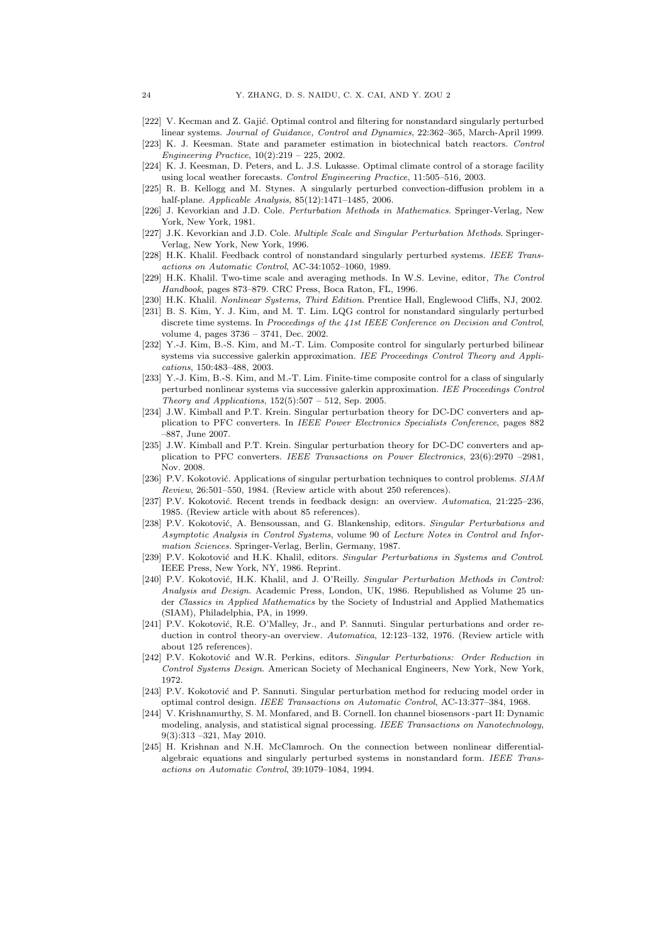- [222] V. Kecman and Z. Gajić. Optimal control and filtering for nonstandard singularly perturbed linear systems. *Journal of Guidance, Control and Dynamics*, 22:362–365, March-April 1999.
- [223] K. J. Keesman. State and parameter estimation in biotechnical batch reactors. *Control Engineering Practice*, 10(2):219 – 225, 2002.
- [224] K. J. Keesman, D. Peters, and L. J.S. Lukasse. Optimal climate control of a storage facility using local weather forecasts. *Control Engineering Practice*, 11:505–516, 2003.
- [225] R. B. Kellogg and M. Stynes. A singularly perturbed convection-diffusion problem in a half-plane. *Applicable Analysis*, 85(12):1471–1485, 2006.
- [226] J. Kevorkian and J.D. Cole. *Perturbation Methods in Mathematics*. Springer-Verlag, New York, New York, 1981.
- [227] J.K. Kevorkian and J.D. Cole. *Multiple Scale and Singular Perturbation Methods*. Springer-Verlag, New York, New York, 1996.
- [228] H.K. Khalil. Feedback control of nonstandard singularly perturbed systems. *IEEE Transactions on Automatic Control*, AC-34:1052–1060, 1989.
- [229] H.K. Khalil. Two-time scale and averaging methods. In W.S. Levine, editor, *The Control Handbook*, pages 873–879. CRC Press, Boca Raton, FL, 1996.
- [230] H.K. Khalil. *Nonlinear Systems, Third Edition*. Prentice Hall, Englewood Cliffs, NJ, 2002.
- [231] B. S. Kim, Y. J. Kim, and M. T. Lim. LQG control for nonstandard singularly perturbed discrete time systems. In *Proceedings of the 41st IEEE Conference on Decision and Control*, volume 4, pages 3736 – 3741, Dec. 2002.
- [232] Y.-J. Kim, B.-S. Kim, and M.-T. Lim. Composite control for singularly perturbed bilinear systems via successive galerkin approximation. *IEE Proceedings Control Theory and Applications*, 150:483–488, 2003.
- [233] Y.-J. Kim, B.-S. Kim, and M.-T. Lim. Finite-time composite control for a class of singularly perturbed nonlinear systems via successive galerkin approximation. *IEE Proceedings Control Theory and Applications*, 152(5):507 – 512, Sep. 2005.
- [234] J.W. Kimball and P.T. Krein. Singular perturbation theory for DC-DC converters and application to PFC converters. In *IEEE Power Electronics Specialists Conference*, pages 882 –887, June 2007.
- [235] J.W. Kimball and P.T. Krein. Singular perturbation theory for DC-DC converters and application to PFC converters. *IEEE Transactions on Power Electronics*, 23(6):2970 –2981, Nov. 2008.
- [236] P.V. Kokotović. Applications of singular perturbation techniques to control problems. *SIAM Review*, 26:501–550, 1984. (Review article with about 250 references).
- [237] P.V. Kokotović. Recent trends in feedback design: an overview. Automatica, 21:225-236, 1985. (Review article with about 85 references).
- [238] P.V. Kokotović, A. Bensoussan, and G. Blankenship, editors. *Singular Perturbations and Asymptotic Analysis in Control Systems*, volume 90 of *Lecture Notes in Control and Information Sciences*. Springer-Verlag, Berlin, Germany, 1987.
- [239] P.V. Kokotovi´c and H.K. Khalil, editors. *Singular Perturbations in Systems and Control*. IEEE Press, New York, NY, 1986. Reprint.
- [240] P.V. Kokotović, H.K. Khalil, and J. O'Reilly. *Singular Perturbation Methods in Control: Analysis and Design*. Academic Press, London, UK, 1986. Republished as Volume 25 under *Classics in Applied Mathematics* by the Society of Industrial and Applied Mathematics (SIAM), Philadelphia, PA, in 1999.
- [241] P.V. Kokotović, R.E. O'Malley, Jr., and P. Sannuti. Singular perturbations and order reduction in control theory-an overview. *Automatica*, 12:123–132, 1976. (Review article with about 125 references).
- [242] P.V. Kokotović and W.R. Perkins, editors. *Singular Perturbations: Order Reduction in Control Systems Design*. American Society of Mechanical Engineers, New York, New York, 1972.
- [243] P.V. Kokotović and P. Sannuti. Singular perturbation method for reducing model order in optimal control design. *IEEE Transactions on Automatic Control*, AC-13:377–384, 1968.
- [244] V. Krishnamurthy, S. M. Monfared, and B. Cornell. Ion channel biosensors -part II: Dynamic modeling, analysis, and statistical signal processing. *IEEE Transactions on Nanotechnology*, 9(3):313 –321, May 2010.
- [245] H. Krishnan and N.H. McClamroch. On the connection between nonlinear differentialalgebraic equations and singularly perturbed systems in nonstandard form. *IEEE Transactions on Automatic Control*, 39:1079–1084, 1994.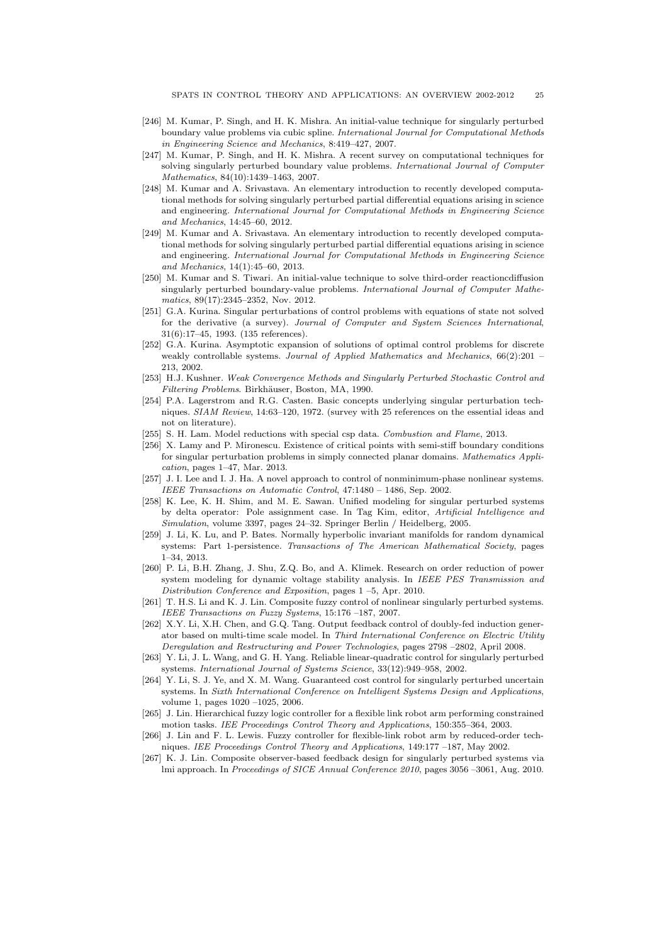- [246] M. Kumar, P. Singh, and H. K. Mishra. An initial-value technique for singularly perturbed boundary value problems via cubic spline. *International Journal for Computational Methods in Engineering Science and Mechanics*, 8:419–427, 2007.
- [247] M. Kumar, P. Singh, and H. K. Mishra. A recent survey on computational techniques for solving singularly perturbed boundary value problems. *International Journal of Computer Mathematics*, 84(10):1439–1463, 2007.
- [248] M. Kumar and A. Srivastava. An elementary introduction to recently developed computational methods for solving singularly perturbed partial differential equations arising in science and engineering. *International Journal for Computational Methods in Engineering Science and Mechanics*, 14:45–60, 2012.
- [249] M. Kumar and A. Srivastava. An elementary introduction to recently developed computational methods for solving singularly perturbed partial differential equations arising in science and engineering. *International Journal for Computational Methods in Engineering Science and Mechanics*, 14(1):45–60, 2013.
- [250] M. Kumar and S. Tiwari. An initial-value technique to solve third-order reactioncdiffusion singularly perturbed boundary-value problems. *International Journal of Computer Mathematics*, 89(17):2345–2352, Nov. 2012.
- [251] G.A. Kurina. Singular perturbations of control problems with equations of state not solved for the derivative (a survey). *Journal of Computer and System Sciences International*, 31(6):17–45, 1993. (135 references).
- [252] G.A. Kurina. Asymptotic expansion of solutions of optimal control problems for discrete weakly controllable systems. *Journal of Applied Mathematics and Mechanics*, 66(2):201 – 213, 2002.
- [253] H.J. Kushner. *Weak Convergence Methods and Singularly Perturbed Stochastic Control and Filtering Problems*. Birkh¨auser, Boston, MA, 1990.
- [254] P.A. Lagerstrom and R.G. Casten. Basic concepts underlying singular perturbation techniques. *SIAM Review*, 14:63–120, 1972. (survey with 25 references on the essential ideas and not on literature).
- [255] S. H. Lam. Model reductions with special csp data. *Combustion and Flame*, 2013.
- [256] X. Lamy and P. Mironescu. Existence of critical points with semi-stiff boundary conditions for singular perturbation problems in simply connected planar domains. *Mathematics Application*, pages 1–47, Mar. 2013.
- [257] J. I. Lee and I. J. Ha. A novel approach to control of nonminimum-phase nonlinear systems. *IEEE Transactions on Automatic Control*, 47:1480 – 1486, Sep. 2002.
- [258] K. Lee, K. H. Shim, and M. E. Sawan. Unified modeling for singular perturbed systems by delta operator: Pole assignment case. In Tag Kim, editor, *Artificial Intelligence and Simulation*, volume 3397, pages 24–32. Springer Berlin / Heidelberg, 2005.
- [259] J. Li, K. Lu, and P. Bates. Normally hyperbolic invariant manifolds for random dynamical systems: Part 1-persistence. *Transactions of The American Mathematical Society*, pages 1–34, 2013.
- [260] P. Li, B.H. Zhang, J. Shu, Z.Q. Bo, and A. Klimek. Research on order reduction of power system modeling for dynamic voltage stability analysis. In *IEEE PES Transmission and Distribution Conference and Exposition*, pages 1 –5, Apr. 2010.
- [261] T. H.S. Li and K. J. Lin. Composite fuzzy control of nonlinear singularly perturbed systems. *IEEE Transactions on Fuzzy Systems*, 15:176 –187, 2007.
- [262] X.Y. Li, X.H. Chen, and G.Q. Tang. Output feedback control of doubly-fed induction generator based on multi-time scale model. In *Third International Conference on Electric Utility Deregulation and Restructuring and Power Technologies*, pages 2798 –2802, April 2008.
- [263] Y. Li, J. L. Wang, and G. H. Yang. Reliable linear-quadratic control for singularly perturbed systems. *International Journal of Systems Science*, 33(12):949–958, 2002.
- [264] Y. Li, S. J. Ye, and X. M. Wang. Guaranteed cost control for singularly perturbed uncertain systems. In *Sixth International Conference on Intelligent Systems Design and Applications*, volume 1, pages 1020 –1025, 2006.
- [265] J. Lin. Hierarchical fuzzy logic controller for a flexible link robot arm performing constrained motion tasks. *IEE Proceedings Control Theory and Applications*, 150:355–364, 2003.
- [266] J. Lin and F. L. Lewis. Fuzzy controller for flexible-link robot arm by reduced-order techniques. *IEE Proceedings Control Theory and Applications*, 149:177 –187, May 2002.
- [267] K. J. Lin. Composite observer-based feedback design for singularly perturbed systems via lmi approach. In *Proceedings of SICE Annual Conference 2010*, pages 3056 –3061, Aug. 2010.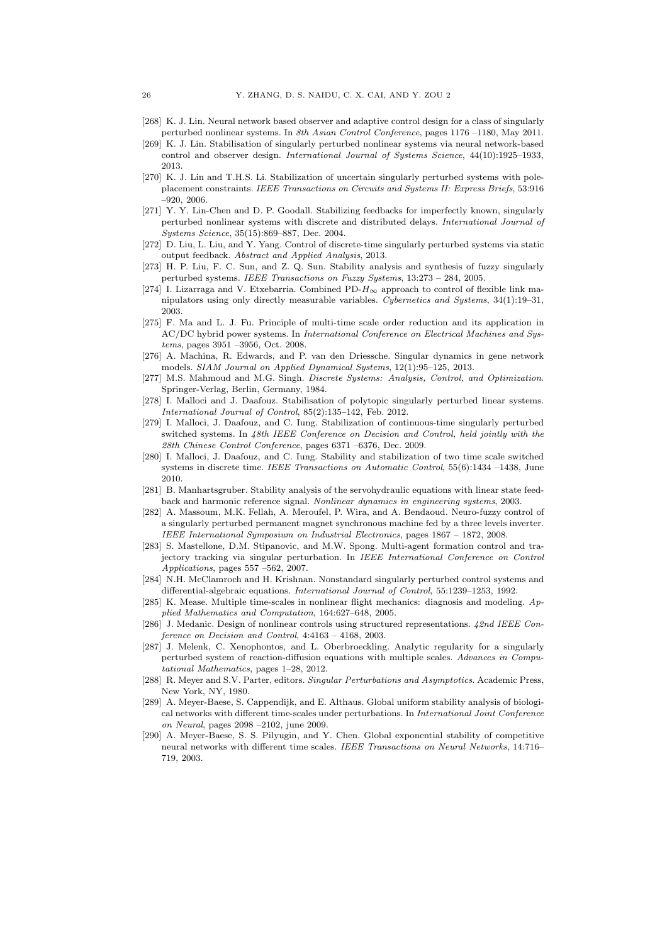- [268] K. J. Lin. Neural network based observer and adaptive control design for a class of singularly perturbed nonlinear systems. In *8th Asian Control Conference*, pages 1176 –1180, May 2011.
- [269] K. J. Lin. Stabilisation of singularly perturbed nonlinear systems via neural network-based control and observer design. *International Journal of Systems Science*, 44(10):1925–1933, 2013.
- [270] K. J. Lin and T.H.S. Li. Stabilization of uncertain singularly perturbed systems with poleplacement constraints. *IEEE Transactions on Circuits and Systems II: Express Briefs*, 53:916 –920, 2006.
- [271] Y. Y. Lin-Chen and D. P. Goodall. Stabilizing feedbacks for imperfectly known, singularly perturbed nonlinear systems with discrete and distributed delays. *International Journal of Systems Science*, 35(15):869–887, Dec. 2004.
- [272] D. Liu, L. Liu, and Y. Yang. Control of discrete-time singularly perturbed systems via static output feedback. *Abstract and Applied Analysis*, 2013.
- [273] H. P. Liu, F. C. Sun, and Z. Q. Sun. Stability analysis and synthesis of fuzzy singularly perturbed systems. *IEEE Transactions on Fuzzy Systems*, 13:273 – 284, 2005.
- [274] I. Lizarraga and V. Etxebarria. Combined PD- $H_{\infty}$  approach to control of flexible link manipulators using only directly measurable variables. *Cybernetics and Systems*, 34(1):19–31, 2003.
- [275] F. Ma and L. J. Fu. Principle of multi-time scale order reduction and its application in AC/DC hybrid power systems. In *International Conference on Electrical Machines and Systems*, pages 3951 –3956, Oct. 2008.
- [276] A. Machina, R. Edwards, and P. van den Driessche. Singular dynamics in gene network models. *SIAM Journal on Applied Dynamical Systems*, 12(1):95–125, 2013.
- [277] M.S. Mahmoud and M.G. Singh. *Discrete Systems: Analysis, Control, and Optimization*. Springer-Verlag, Berlin, Germany, 1984.
- [278] I. Malloci and J. Daafouz. Stabilisation of polytopic singularly perturbed linear systems. *International Journal of Control*, 85(2):135–142, Feb. 2012.
- [279] I. Malloci, J. Daafouz, and C. Iung. Stabilization of continuous-time singularly perturbed switched systems. In *48th IEEE Conference on Decision and Control, held jointly with the 28th Chinese Control Conference*, pages 6371 –6376, Dec. 2009.
- [280] I. Malloci, J. Daafouz, and C. Iung. Stability and stabilization of two time scale switched systems in discrete time. *IEEE Transactions on Automatic Control*, 55(6):1434 –1438, June 2010.
- [281] B. Manhartsgruber. Stability analysis of the servohydraulic equations with linear state feedback and harmonic reference signal. *Nonlinear dynamics in engineering systems*, 2003.
- [282] A. Massoum, M.K. Fellah, A. Meroufel, P. Wira, and A. Bendaoud. Neuro-fuzzy control of a singularly perturbed permanent magnet synchronous machine fed by a three levels inverter. *IEEE International Symposium on Industrial Electronics*, pages 1867 – 1872, 2008.
- [283] S. Mastellone, D.M. Stipanovic, and M.W. Spong. Multi-agent formation control and trajectory tracking via singular perturbation. In *IEEE International Conference on Control Applications*, pages 557 –562, 2007.
- [284] N.H. McClamroch and H. Krishnan. Nonstandard singularly perturbed control systems and differential-algebraic equations. *International Journal of Control*, 55:1239–1253, 1992.
- [285] K. Mease. Multiple time-scales in nonlinear flight mechanics: diagnosis and modeling. *Applied Mathematics and Computation*, 164:627–648, 2005.
- [286] J. Medanic. Design of nonlinear controls using structured representations. *42nd IEEE Conference on Decision and Control*, 4:4163 – 4168, 2003.
- [287] J. Melenk, C. Xenophontos, and L. Oberbroeckling. Analytic regularity for a singularly perturbed system of reaction-diffusion equations with multiple scales. *Advances in Computational Mathematics*, pages 1–28, 2012.
- [288] R. Meyer and S.V. Parter, editors. *Singular Perturbations and Asymptotics*. Academic Press, New York, NY, 1980.
- [289] A. Meyer-Baese, S. Cappendijk, and E. Althaus. Global uniform stability analysis of biological networks with different time-scales under perturbations. In *International Joint Conference on Neural*, pages 2098 –2102, june 2009.
- [290] A. Meyer-Baese, S. S. Pilyugin, and Y. Chen. Global exponential stability of competitive neural networks with different time scales. *IEEE Transactions on Neural Networks*, 14:716– 719, 2003.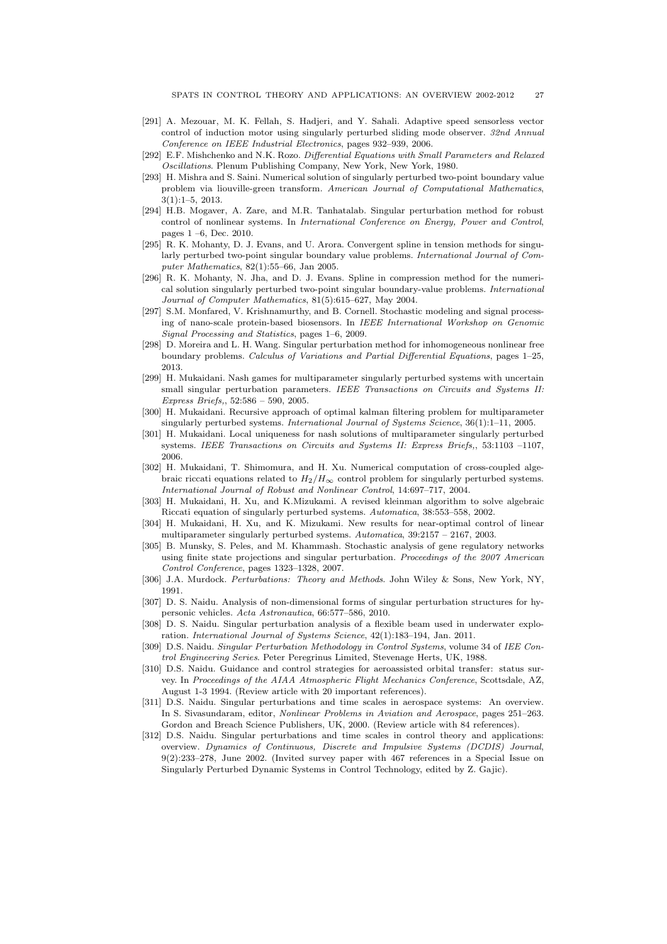- [291] A. Mezouar, M. K. Fellah, S. Hadjeri, and Y. Sahali. Adaptive speed sensorless vector control of induction motor using singularly perturbed sliding mode observer. *32nd Annual Conference on IEEE Industrial Electronics*, pages 932–939, 2006.
- [292] E.F. Mishchenko and N.K. Rozo. *Differential Equations with Small Parameters and Relaxed Oscillations*. Plenum Publishing Company, New York, New York, 1980.
- [293] H. Mishra and S. Saini. Numerical solution of singularly perturbed two-point boundary value problem via liouville-green transform. *American Journal of Computational Mathematics*, 3(1):1–5, 2013.
- [294] H.B. Mogaver, A. Zare, and M.R. Tanhatalab. Singular perturbation method for robust control of nonlinear systems. In *International Conference on Energy, Power and Control*, pages 1 –6, Dec. 2010.
- [295] R. K. Mohanty, D. J. Evans, and U. Arora. Convergent spline in tension methods for singularly perturbed two-point singular boundary value problems. *International Journal of Computer Mathematics*, 82(1):55–66, Jan 2005.
- [296] R. K. Mohanty, N. Jha, and D. J. Evans. Spline in compression method for the numerical solution singularly perturbed two-point singular boundary-value problems. *International Journal of Computer Mathematics*, 81(5):615–627, May 2004.
- [297] S.M. Monfared, V. Krishnamurthy, and B. Cornell. Stochastic modeling and signal processing of nano-scale protein-based biosensors. In *IEEE International Workshop on Genomic Signal Processing and Statistics*, pages 1–6, 2009.
- [298] D. Moreira and L. H. Wang. Singular perturbation method for inhomogeneous nonlinear free boundary problems. *Calculus of Variations and Partial Differential Equations*, pages 1–25, 2013.
- [299] H. Mukaidani. Nash games for multiparameter singularly perturbed systems with uncertain small singular perturbation parameters. *IEEE Transactions on Circuits and Systems II: Express Briefs,*, 52:586 – 590, 2005.
- [300] H. Mukaidani. Recursive approach of optimal kalman filtering problem for multiparameter singularly perturbed systems. *International Journal of Systems Science*, 36(1):1–11, 2005.
- [301] H. Mukaidani. Local uniqueness for nash solutions of multiparameter singularly perturbed systems. *IEEE Transactions on Circuits and Systems II: Express Briefs,*, 53:1103 –1107, 2006.
- [302] H. Mukaidani, T. Shimomura, and H. Xu. Numerical computation of cross-coupled algebraic riccati equations related to  $H_2/H_\infty$  control problem for singularly perturbed systems. *International Journal of Robust and Nonlinear Control*, 14:697–717, 2004.
- [303] H. Mukaidani, H. Xu, and K.Mizukami. A revised kleinman algorithm to solve algebraic Riccati equation of singularly perturbed systems. *Automatica*, 38:553–558, 2002.
- [304] H. Mukaidani, H. Xu, and K. Mizukami. New results for near-optimal control of linear multiparameter singularly perturbed systems. *Automatica*, 39:2157 – 2167, 2003.
- [305] B. Munsky, S. Peles, and M. Khammash. Stochastic analysis of gene regulatory networks using finite state projections and singular perturbation. *Proceedings of the 2007 American Control Conference*, pages 1323–1328, 2007.
- [306] J.A. Murdock. *Perturbations: Theory and Methods*. John Wiley & Sons, New York, NY, 1991.
- [307] D. S. Naidu. Analysis of non-dimensional forms of singular perturbation structures for hypersonic vehicles. *Acta Astronautica*, 66:577–586, 2010.
- [308] D. S. Naidu. Singular perturbation analysis of a flexible beam used in underwater exploration. *International Journal of Systems Science*, 42(1):183–194, Jan. 2011.
- [309] D.S. Naidu. *Singular Perturbation Methodology in Control Systems*, volume 34 of *IEE Control Engineering Series*. Peter Peregrinus Limited, Stevenage Herts, UK, 1988.
- [310] D.S. Naidu. Guidance and control strategies for aeroassisted orbital transfer: status survey. In *Proceedings of the AIAA Atmospheric Flight Mechanics Conference*, Scottsdale, AZ, August 1-3 1994. (Review article with 20 important references).
- [311] D.S. Naidu. Singular perturbations and time scales in aerospace systems: An overview. In S. Sivasundaram, editor, *Nonlinear Problems in Aviation and Aerospace*, pages 251–263. Gordon and Breach Science Publishers, UK, 2000. (Review article with 84 references).
- [312] D.S. Naidu. Singular perturbations and time scales in control theory and applications: overview. *Dynamics of Continuous, Discrete and Impulsive Systems (DCDIS) Journal*, 9(2):233–278, June 2002. (Invited survey paper with 467 references in a Special Issue on Singularly Perturbed Dynamic Systems in Control Technology, edited by Z. Gajic).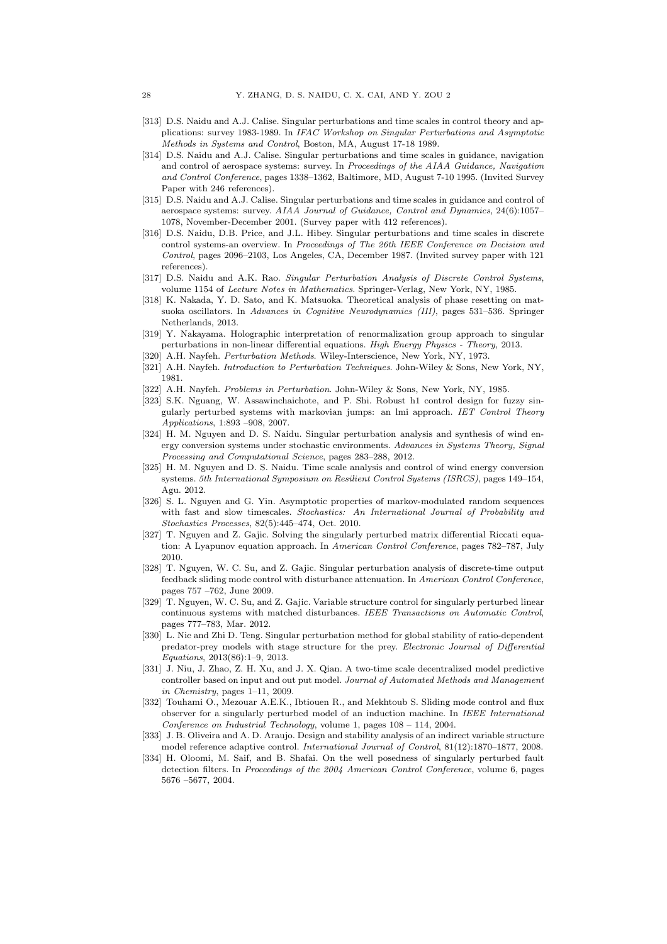- [313] D.S. Naidu and A.J. Calise. Singular perturbations and time scales in control theory and applications: survey 1983-1989. In *IFAC Workshop on Singular Perturbations and Asymptotic Methods in Systems and Control*, Boston, MA, August 17-18 1989.
- [314] D.S. Naidu and A.J. Calise. Singular perturbations and time scales in guidance, navigation and control of aerospace systems: survey. In *Proceedings of the AIAA Guidance, Navigation and Control Conference*, pages 1338–1362, Baltimore, MD, August 7-10 1995. (Invited Survey Paper with 246 references).
- [315] D.S. Naidu and A.J. Calise. Singular perturbations and time scales in guidance and control of aerospace systems: survey. *AIAA Journal of Guidance, Control and Dynamics*, 24(6):1057– 1078, November-December 2001. (Survey paper with 412 references).
- [316] D.S. Naidu, D.B. Price, and J.L. Hibey. Singular perturbations and time scales in discrete control systems-an overview. In *Proceedings of The 26th IEEE Conference on Decision and Control*, pages 2096–2103, Los Angeles, CA, December 1987. (Invited survey paper with 121 references).
- [317] D.S. Naidu and A.K. Rao. *Singular Perturbation Analysis of Discrete Control Systems*, volume 1154 of *Lecture Notes in Mathematics*. Springer-Verlag, New York, NY, 1985.
- [318] K. Nakada, Y. D. Sato, and K. Matsuoka. Theoretical analysis of phase resetting on matsuoka oscillators. In *Advances in Cognitive Neurodynamics (III)*, pages 531–536. Springer Netherlands, 2013.
- [319] Y. Nakayama. Holographic interpretation of renormalization group approach to singular perturbations in non-linear differential equations. *High Energy Physics - Theory*, 2013.
- [320] A.H. Nayfeh. *Perturbation Methods*. Wiley-Interscience, New York, NY, 1973.
- [321] A.H. Nayfeh. *Introduction to Perturbation Techniques*. John-Wiley & Sons, New York, NY, 1981.
- [322] A.H. Nayfeh. *Problems in Perturbation*. John-Wiley & Sons, New York, NY, 1985.
- [323] S.K. Nguang, W. Assawinchaichote, and P. Shi. Robust h1 control design for fuzzy singularly perturbed systems with markovian jumps: an lmi approach. *IET Control Theory Applications*, 1:893 –908, 2007.
- [324] H. M. Nguyen and D. S. Naidu. Singular perturbation analysis and synthesis of wind energy conversion systems under stochastic environments. *Advances in Systems Theory, Signal Processing and Computational Science*, pages 283–288, 2012.
- [325] H. M. Nguyen and D. S. Naidu. Time scale analysis and control of wind energy conversion systems. *5th International Symposium on Resilient Control Systems (ISRCS)*, pages 149–154, Agu. 2012.
- [326] S. L. Nguyen and G. Yin. Asymptotic properties of markov-modulated random sequences with fast and slow timescales. *Stochastics: An International Journal of Probability and Stochastics Processes*, 82(5):445–474, Oct. 2010.
- [327] T. Nguyen and Z. Gajic. Solving the singularly perturbed matrix differential Riccati equation: A Lyapunov equation approach. In *American Control Conference*, pages 782–787, July 2010.
- [328] T. Nguyen, W. C. Su, and Z. Gajic. Singular perturbation analysis of discrete-time output feedback sliding mode control with disturbance attenuation. In *American Control Conference*, pages 757 –762, June 2009.
- [329] T. Nguyen, W. C. Su, and Z. Gajic. Variable structure control for singularly perturbed linear continuous systems with matched disturbances. *IEEE Transactions on Automatic Control*, pages 777–783, Mar. 2012.
- [330] L. Nie and Zhi D. Teng. Singular perturbation method for global stability of ratio-dependent predator-prey models with stage structure for the prey. *Electronic Journal of Differential Equations*, 2013(86):1–9, 2013.
- [331] J. Niu, J. Zhao, Z. H. Xu, and J. X. Qian. A two-time scale decentralized model predictive controller based on input and out put model. *Journal of Automated Methods and Management in Chemistry*, pages 1–11, 2009.
- [332] Touhami O., Mezouar A.E.K., Ibtiouen R., and Mekhtoub S. Sliding mode control and flux observer for a singularly perturbed model of an induction machine. In *IEEE International Conference on Industrial Technology*, volume 1, pages 108 – 114, 2004.
- [333] J. B. Oliveira and A. D. Araujo. Design and stability analysis of an indirect variable structure model reference adaptive control. *International Journal of Control*, 81(12):1870–1877, 2008.
- [334] H. Oloomi, M. Saif, and B. Shafai. On the well posedness of singularly perturbed fault detection filters. In *Proceedings of the 2004 American Control Conference*, volume 6, pages 5676 –5677, 2004.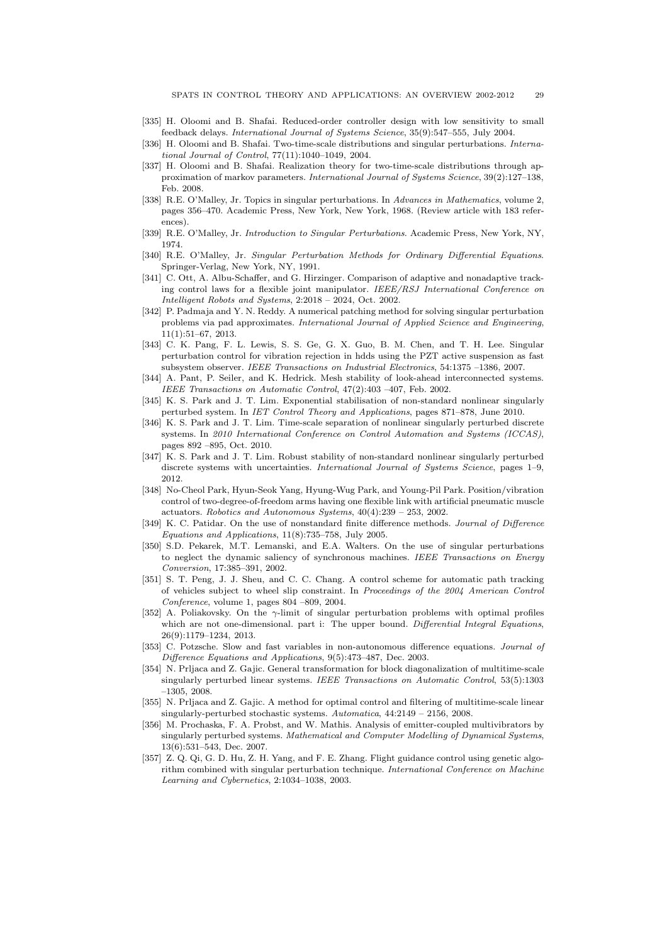- [335] H. Oloomi and B. Shafai. Reduced-order controller design with low sensitivity to small feedback delays. *International Journal of Systems Science*, 35(9):547–555, July 2004.
- [336] H. Oloomi and B. Shafai. Two-time-scale distributions and singular perturbations. *International Journal of Control*, 77(11):1040–1049, 2004.
- [337] H. Oloomi and B. Shafai. Realization theory for two-time-scale distributions through approximation of markov parameters. *International Journal of Systems Science*, 39(2):127–138, Feb. 2008.
- [338] R.E. O'Malley, Jr. Topics in singular perturbations. In *Advances in Mathematics*, volume 2, pages 356–470. Academic Press, New York, New York, 1968. (Review article with 183 references).
- [339] R.E. O'Malley, Jr. *Introduction to Singular Perturbations*. Academic Press, New York, NY, 1974.
- [340] R.E. O'Malley, Jr. *Singular Perturbation Methods for Ordinary Differential Equations*. Springer-Verlag, New York, NY, 1991.
- [341] C. Ott, A. Albu-Schaffer, and G. Hirzinger. Comparison of adaptive and nonadaptive tracking control laws for a flexible joint manipulator. *IEEE/RSJ International Conference on Intelligent Robots and Systems*, 2:2018 – 2024, Oct. 2002.
- [342] P. Padmaja and Y. N. Reddy. A numerical patching method for solving singular perturbation problems via pad approximates. *International Journal of Applied Science and Engineering*, 11(1):51–67, 2013.
- [343] C. K. Pang, F. L. Lewis, S. S. Ge, G. X. Guo, B. M. Chen, and T. H. Lee. Singular perturbation control for vibration rejection in hdds using the PZT active suspension as fast subsystem observer. *IEEE Transactions on Industrial Electronics*, 54:1375 –1386, 2007.
- [344] A. Pant, P. Seiler, and K. Hedrick. Mesh stability of look-ahead interconnected systems. *IEEE Transactions on Automatic Control*, 47(2):403 –407, Feb. 2002.
- [345] K. S. Park and J. T. Lim. Exponential stabilisation of non-standard nonlinear singularly perturbed system. In *IET Control Theory and Applications*, pages 871–878, June 2010.
- [346] K. S. Park and J. T. Lim. Time-scale separation of nonlinear singularly perturbed discrete systems. In *2010 International Conference on Control Automation and Systems (ICCAS)*, pages 892 –895, Oct. 2010.
- [347] K. S. Park and J. T. Lim. Robust stability of non-standard nonlinear singularly perturbed discrete systems with uncertainties. *International Journal of Systems Science*, pages 1–9, 2012.
- [348] No-Cheol Park, Hyun-Seok Yang, Hyung-Wug Park, and Young-Pil Park. Position/vibration control of two-degree-of-freedom arms having one flexible link with artificial pneumatic muscle actuators. *Robotics and Autonomous Systems*, 40(4):239 – 253, 2002.
- [349] K. C. Patidar. On the use of nonstandard finite difference methods. *Journal of Difference Equations and Applications*, 11(8):735–758, July 2005.
- [350] S.D. Pekarek, M.T. Lemanski, and E.A. Walters. On the use of singular perturbations to neglect the dynamic saliency of synchronous machines. *IEEE Transactions on Energy Conversion*, 17:385–391, 2002.
- [351] S. T. Peng, J. J. Sheu, and C. C. Chang. A control scheme for automatic path tracking of vehicles subject to wheel slip constraint. In *Proceedings of the 2004 American Control Conference*, volume 1, pages 804 –809, 2004.
- [352] A. Poliakovsky. On the  $\gamma$ -limit of singular perturbation problems with optimal profiles which are not one-dimensional. part i: The upper bound. *Differential Integral Equations*, 26(9):1179–1234, 2013.
- [353] C. Potzsche. Slow and fast variables in non-autonomous difference equations. *Journal of Difference Equations and Applications*, 9(5):473–487, Dec. 2003.
- [354] N. Prljaca and Z. Gajic. General transformation for block diagonalization of multitime-scale singularly perturbed linear systems. *IEEE Transactions on Automatic Control*, 53(5):1303 –1305, 2008.
- [355] N. Prljaca and Z. Gajic. A method for optimal control and filtering of multitime-scale linear singularly-perturbed stochastic systems. *Automatica*, 44:2149 – 2156, 2008.
- [356] M. Prochaska, F. A. Probst, and W. Mathis. Analysis of emitter-coupled multivibrators by singularly perturbed systems. *Mathematical and Computer Modelling of Dynamical Systems*, 13(6):531–543, Dec. 2007.
- [357] Z. Q. Qi, G. D. Hu, Z. H. Yang, and F. E. Zhang. Flight guidance control using genetic algorithm combined with singular perturbation technique. *International Conference on Machine Learning and Cybernetics*, 2:1034–1038, 2003.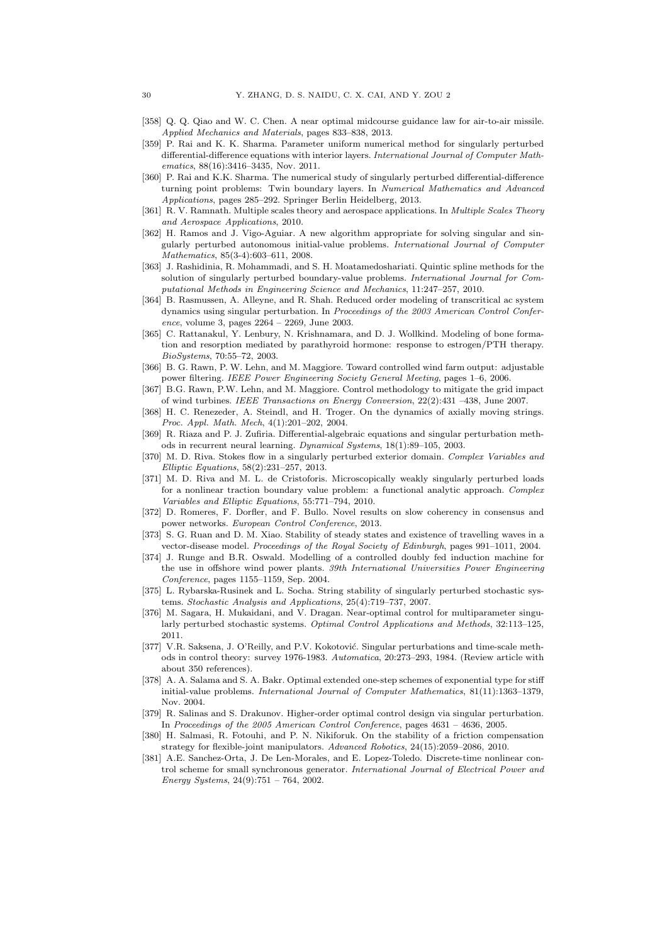- [358] Q. Q. Qiao and W. C. Chen. A near optimal midcourse guidance law for air-to-air missile. *Applied Mechanics and Materials*, pages 833–838, 2013.
- [359] P. Rai and K. K. Sharma. Parameter uniform numerical method for singularly perturbed differential-difference equations with interior layers. *International Journal of Computer Mathematics*, 88(16):3416–3435, Nov. 2011.
- [360] P. Rai and K.K. Sharma. The numerical study of singularly perturbed differential-difference turning point problems: Twin boundary layers. In *Numerical Mathematics and Advanced Applications*, pages 285–292. Springer Berlin Heidelberg, 2013.
- [361] R. V. Ramnath. Multiple scales theory and aerospace applications. In *Multiple Scales Theory and Aerospace Applications*, 2010.
- [362] H. Ramos and J. Vigo-Aguiar. A new algorithm appropriate for solving singular and singularly perturbed autonomous initial-value problems. *International Journal of Computer Mathematics*, 85(3-4):603–611, 2008.
- [363] J. Rashidinia, R. Mohammadi, and S. H. Moatamedoshariati. Quintic spline methods for the solution of singularly perturbed boundary-value problems. *International Journal for Computational Methods in Engineering Science and Mechanics*, 11:247–257, 2010.
- [364] B. Rasmussen, A. Alleyne, and R. Shah. Reduced order modeling of transcritical ac system dynamics using singular perturbation. In *Proceedings of the 2003 American Control Conference*, volume 3, pages 2264 – 2269, June 2003.
- [365] C. Rattanakul, Y. Lenbury, N. Krishnamara, and D. J. Wollkind. Modeling of bone formation and resorption mediated by parathyroid hormone: response to estrogen/PTH therapy. *BioSystems*, 70:55–72, 2003.
- [366] B. G. Rawn, P. W. Lehn, and M. Maggiore. Toward controlled wind farm output: adjustable power filtering. *IEEE Power Engineering Society General Meeting*, pages 1–6, 2006.
- [367] B.G. Rawn, P.W. Lehn, and M. Maggiore. Control methodology to mitigate the grid impact of wind turbines. *IEEE Transactions on Energy Conversion*, 22(2):431 –438, June 2007.
- [368] H. C. Renezeder, A. Steindl, and H. Troger. On the dynamics of axially moving strings. *Proc. Appl. Math. Mech*, 4(1):201–202, 2004.
- [369] R. Riaza and P. J. Zufiria. Differential-algebraic equations and singular perturbation methods in recurrent neural learning. *Dynamical Systems*, 18(1):89–105, 2003.
- [370] M. D. Riva. Stokes flow in a singularly perturbed exterior domain. *Complex Variables and Elliptic Equations*, 58(2):231–257, 2013.
- [371] M. D. Riva and M. L. de Cristoforis. Microscopically weakly singularly perturbed loads for a nonlinear traction boundary value problem: a functional analytic approach. *Complex Variables and Elliptic Equations*, 55:771–794, 2010.
- [372] D. Romeres, F. Dorfler, and F. Bullo. Novel results on slow coherency in consensus and power networks. *European Control Conference*, 2013.
- [373] S. G. Ruan and D. M. Xiao. Stability of steady states and existence of travelling waves in a vector-disease model. *Proceedings of the Royal Society of Edinburgh*, pages 991–1011, 2004.
- [374] J. Runge and B.R. Oswald. Modelling of a controlled doubly fed induction machine for the use in offshore wind power plants. *39th International Universities Power Engineering Conference*, pages 1155–1159, Sep. 2004.
- [375] L. Rybarska-Rusinek and L. Socha. String stability of singularly perturbed stochastic systems. *Stochastic Analysis and Applications*, 25(4):719–737, 2007.
- [376] M. Sagara, H. Mukaidani, and V. Dragan. Near-optimal control for multiparameter singularly perturbed stochastic systems. *Optimal Control Applications and Methods*, 32:113–125, 2011.
- [377] V.R. Saksena, J. O'Reilly, and P.V. Kokotović. Singular perturbations and time-scale methods in control theory: survey 1976-1983. *Automatica*, 20:273–293, 1984. (Review article with about 350 references).
- [378] A. A. Salama and S. A. Bakr. Optimal extended one-step schemes of exponential type for stiff initial-value problems. *International Journal of Computer Mathematics*, 81(11):1363–1379, Nov. 2004.
- [379] R. Salinas and S. Drakunov. Higher-order optimal control design via singular perturbation. In *Proceedings of the 2005 American Control Conference*, pages 4631 – 4636, 2005.
- [380] H. Salmasi, R. Fotouhi, and P. N. Nikiforuk. On the stability of a friction compensation strategy for flexible-joint manipulators. *Advanced Robotics*, 24(15):2059–2086, 2010.
- [381] A.E. Sanchez-Orta, J. De Len-Morales, and E. Lopez-Toledo. Discrete-time nonlinear control scheme for small synchronous generator. *International Journal of Electrical Power and Energy Systems*, 24(9):751 – 764, 2002.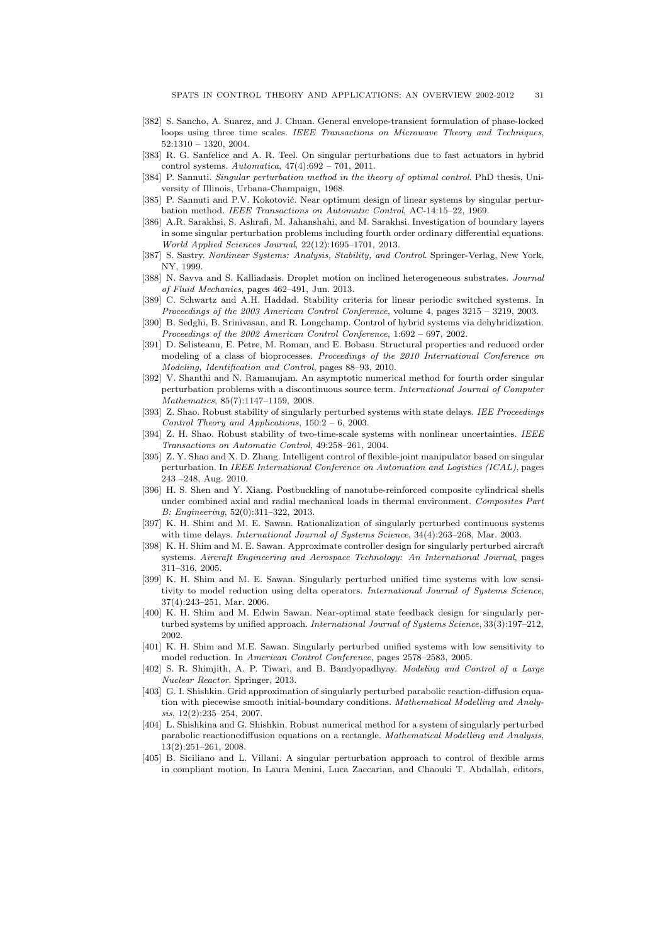- [382] S. Sancho, A. Suarez, and J. Chuan. General envelope-transient formulation of phase-locked loops using three time scales. *IEEE Transactions on Microwave Theory and Techniques*, 52:1310 – 1320, 2004.
- [383] R. G. Sanfelice and A. R. Teel. On singular perturbations due to fast actuators in hybrid control systems. *Automatica*, 47(4):692 – 701, 2011.
- [384] P. Sannuti. *Singular perturbation method in the theory of optimal control*. PhD thesis, University of Illinois, Urbana-Champaign, 1968.
- [385] P. Sannuti and P.V. Kokotović. Near optimum design of linear systems by singular perturbation method. *IEEE Transactions on Automatic Control*, AC-14:15–22, 1969.
- [386] A.R. Sarakhsi, S. Ashrafi, M. Jahanshahi, and M. Sarakhsi. Investigation of boundary layers in some singular perturbation problems including fourth order ordinary differential equations. *World Applied Sciences Journal*, 22(12):1695–1701, 2013.
- [387] S. Sastry. *Nonlinear Systems: Analysis, Stability, and Control*. Springer-Verlag, New York, NY, 1999.
- [388] N. Savva and S. Kalliadasis. Droplet motion on inclined heterogeneous substrates. *Journal of Fluid Mechanics*, pages 462–491, Jun. 2013.
- [389] C. Schwartz and A.H. Haddad. Stability criteria for linear periodic switched systems. In *Proceedings of the 2003 American Control Conference*, volume 4, pages 3215 – 3219, 2003.
- [390] B. Sedghi, B. Srinivasan, and R. Longchamp. Control of hybrid systems via dehybridization. *Proceedings of the 2002 American Control Conference*, 1:692 – 697, 2002.
- [391] D. Selisteanu, E. Petre, M. Roman, and E. Bobasu. Structural properties and reduced order modeling of a class of bioprocesses. *Proceedings of the 2010 International Conference on Modeling, Identification and Control*, pages 88–93, 2010.
- [392] V. Shanthi and N. Ramanujam. An asymptotic numerical method for fourth order singular perturbation problems with a discontinuous source term. *International Journal of Computer Mathematics*, 85(7):1147–1159, 2008.
- [393] Z. Shao. Robust stability of singularly perturbed systems with state delays. *IEE Proceedings Control Theory and Applications*, 150:2 – 6, 2003.
- [394] Z. H. Shao. Robust stability of two-time-scale systems with nonlinear uncertainties. *IEEE Transactions on Automatic Control*, 49:258–261, 2004.
- [395] Z. Y. Shao and X. D. Zhang. Intelligent control of flexible-joint manipulator based on singular perturbation. In *IEEE International Conference on Automation and Logistics (ICAL)*, pages 243 –248, Aug. 2010.
- [396] H. S. Shen and Y. Xiang. Postbuckling of nanotube-reinforced composite cylindrical shells under combined axial and radial mechanical loads in thermal environment. *Composites Part B: Engineering*, 52(0):311–322, 2013.
- [397] K. H. Shim and M. E. Sawan. Rationalization of singularly perturbed continuous systems with time delays. *International Journal of Systems Science*, 34(4):263–268, Mar. 2003.
- [398] K. H. Shim and M. E. Sawan. Approximate controller design for singularly perturbed aircraft systems. *Aircraft Engineering and Aerospace Technology: An International Journal*, pages 311–316, 2005.
- [399] K. H. Shim and M. E. Sawan. Singularly perturbed unified time systems with low sensitivity to model reduction using delta operators. *International Journal of Systems Science*, 37(4):243–251, Mar. 2006.
- [400] K. H. Shim and M. Edwin Sawan. Near-optimal state feedback design for singularly perturbed systems by unified approach. *International Journal of Systems Science*, 33(3):197–212, 2002.
- [401] K. H. Shim and M.E. Sawan. Singularly perturbed unified systems with low sensitivity to model reduction. In *American Control Conference*, pages 2578–2583, 2005.
- [402] S. R. Shimjith, A. P. Tiwari, and B. Bandyopadhyay. *Modeling and Control of a Large Nuclear Reactor*. Springer, 2013.
- [403] G. I. Shishkin. Grid approximation of singularly perturbed parabolic reaction-diffusion equation with piecewise smooth initial-boundary conditions. *Mathematical Modelling and Analysis*, 12(2):235–254, 2007.
- [404] L. Shishkina and G. Shishkin. Robust numerical method for a system of singularly perturbed parabolic reactioncdiffusion equations on a rectangle. *Mathematical Modelling and Analysis*, 13(2):251–261, 2008.
- [405] B. Siciliano and L. Villani. A singular perturbation approach to control of flexible arms in compliant motion. In Laura Menini, Luca Zaccarian, and Chaouki T. Abdallah, editors,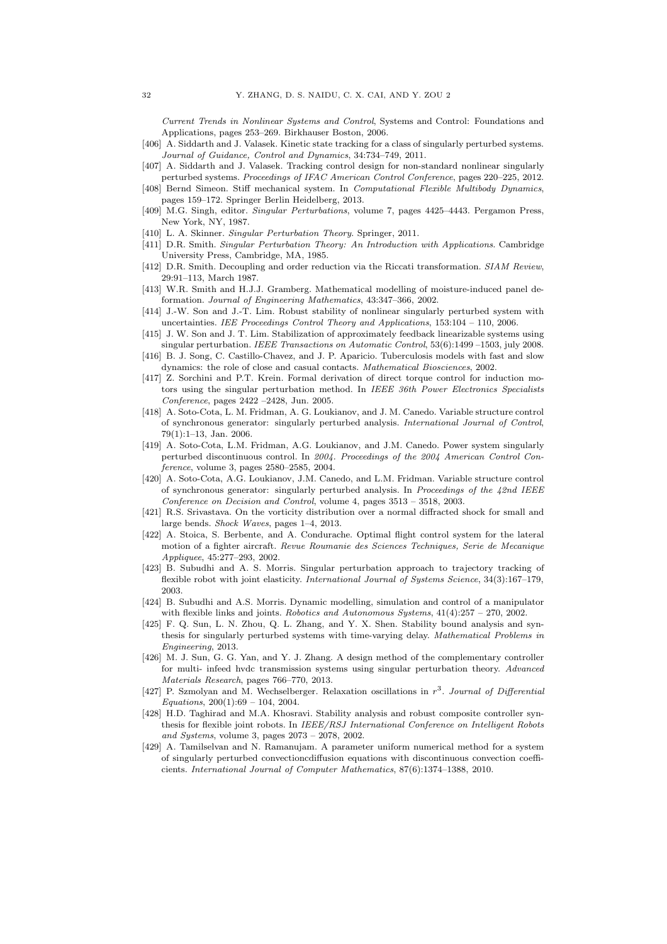*Current Trends in Nonlinear Systems and Control*, Systems and Control: Foundations and Applications, pages 253–269. Birkhauser Boston, 2006.

- [406] A. Siddarth and J. Valasek. Kinetic state tracking for a class of singularly perturbed systems. *Journal of Guidance, Control and Dynamics*, 34:734–749, 2011.
- [407] A. Siddarth and J. Valasek. Tracking control design for non-standard nonlinear singularly perturbed systems. *Proceedings of IFAC American Control Conference*, pages 220–225, 2012.
- [408] Bernd Simeon. Stiff mechanical system. In *Computational Flexible Multibody Dynamics*, pages 159–172. Springer Berlin Heidelberg, 2013.
- [409] M.G. Singh, editor. *Singular Perturbations*, volume 7, pages 4425–4443. Pergamon Press, New York, NY, 1987.
- [410] L. A. Skinner. *Singular Perturbation Theory*. Springer, 2011.
- [411] D.R. Smith. *Singular Perturbation Theory: An Introduction with Applications*. Cambridge University Press, Cambridge, MA, 1985.
- [412] D.R. Smith. Decoupling and order reduction via the Riccati transformation. *SIAM Review*, 29:91–113, March 1987.
- [413] W.R. Smith and H.J.J. Gramberg. Mathematical modelling of moisture-induced panel deformation. *Journal of Engineering Mathematics*, 43:347–366, 2002.
- [414] J.-W. Son and J.-T. Lim. Robust stability of nonlinear singularly perturbed system with uncertainties. *IEE Proceedings Control Theory and Applications*, 153:104 – 110, 2006.
- [415] J. W. Son and J. T. Lim. Stabilization of approximately feedback linearizable systems using singular perturbation. *IEEE Transactions on Automatic Control*, 53(6):1499 –1503, july 2008.
- [416] B. J. Song, C. Castillo-Chavez, and J. P. Aparicio. Tuberculosis models with fast and slow dynamics: the role of close and casual contacts. *Mathematical Biosciences*, 2002.
- [417] Z. Sorchini and P.T. Krein. Formal derivation of direct torque control for induction motors using the singular perturbation method. In *IEEE 36th Power Electronics Specialists Conference*, pages 2422 –2428, Jun. 2005.
- [418] A. Soto-Cota, L. M. Fridman, A. G. Loukianov, and J. M. Canedo. Variable structure control of synchronous generator: singularly perturbed analysis. *International Journal of Control*, 79(1):1–13, Jan. 2006.
- [419] A. Soto-Cota, L.M. Fridman, A.G. Loukianov, and J.M. Canedo. Power system singularly perturbed discontinuous control. In *2004. Proceedings of the 2004 American Control Conference*, volume 3, pages 2580–2585, 2004.
- [420] A. Soto-Cota, A.G. Loukianov, J.M. Canedo, and L.M. Fridman. Variable structure control of synchronous generator: singularly perturbed analysis. In *Proceedings of the 42nd IEEE Conference on Decision and Control*, volume 4, pages 3513 – 3518, 2003.
- [421] R.S. Srivastava. On the vorticity distribution over a normal diffracted shock for small and large bends. *Shock Waves*, pages 1–4, 2013.
- [422] A. Stoica, S. Berbente, and A. Condurache. Optimal flight control system for the lateral motion of a fighter aircraft. *Revue Roumanie des Sciences Techniques, Serie de Mecanique Appliquee*, 45:277–293, 2002.
- [423] B. Subudhi and A. S. Morris. Singular perturbation approach to trajectory tracking of flexible robot with joint elasticity. *International Journal of Systems Science*, 34(3):167–179, 2003.
- [424] B. Subudhi and A.S. Morris. Dynamic modelling, simulation and control of a manipulator with flexible links and joints. *Robotics and Autonomous Systems*, 41(4):257 – 270, 2002.
- [425] F. Q. Sun, L. N. Zhou, Q. L. Zhang, and Y. X. Shen. Stability bound analysis and synthesis for singularly perturbed systems with time-varying delay. *Mathematical Problems in Engineering*, 2013.
- [426] M. J. Sun, G. G. Yan, and Y. J. Zhang. A design method of the complementary controller for multi- infeed hvdc transmission systems using singular perturbation theory. *Advanced Materials Research*, pages 766–770, 2013.
- [427] P. Szmolyan and M. Wechselberger. Relaxation oscillations in r 3 . *Journal of Differential Equations*, 200(1):69 – 104, 2004.
- [428] H.D. Taghirad and M.A. Khosravi. Stability analysis and robust composite controller synthesis for flexible joint robots. In *IEEE/RSJ International Conference on Intelligent Robots and Systems*, volume 3, pages 2073 – 2078, 2002.
- [429] A. Tamilselvan and N. Ramanujam. A parameter uniform numerical method for a system of singularly perturbed convectioncdiffusion equations with discontinuous convection coefficients. *International Journal of Computer Mathematics*, 87(6):1374–1388, 2010.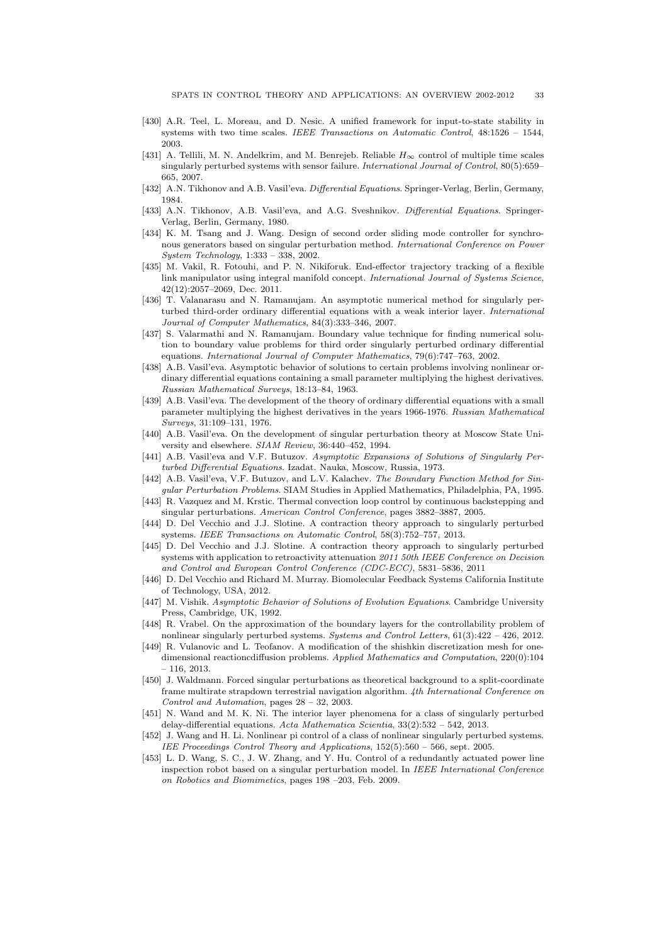- [430] A.R. Teel, L. Moreau, and D. Nesic. A unified framework for input-to-state stability in systems with two time scales. *IEEE Transactions on Automatic Control*, 48:1526 – 1544, 2003.
- [431] A. Tellili, M. N. Andelkrim, and M. Benrejeb. Reliable  $H_{\infty}$  control of multiple time scales singularly perturbed systems with sensor failure. *International Journal of Control*, 80(5):659– 665, 2007.
- [432] A.N. Tikhonov and A.B. Vasil'eva. *Differential Equations*. Springer-Verlag, Berlin, Germany, 1984.
- [433] A.N. Tikhonov, A.B. Vasil'eva, and A.G. Sveshnikov. *Differential Equations*. Springer-Verlag, Berlin, Germany, 1980.
- [434] K. M. Tsang and J. Wang. Design of second order sliding mode controller for synchronous generators based on singular perturbation method. *International Conference on Power System Technology*, 1:333 – 338, 2002.
- [435] M. Vakil, R. Fotouhi, and P. N. Nikiforuk. End-effector trajectory tracking of a flexible link manipulator using integral manifold concept. *International Journal of Systems Science*, 42(12):2057–2069, Dec. 2011.
- [436] T. Valanarasu and N. Ramanujam. An asymptotic numerical method for singularly perturbed third-order ordinary differential equations with a weak interior layer. *International Journal of Computer Mathematics*, 84(3):333–346, 2007.
- [437] S. Valarmathi and N. Ramanujam. Boundary value technique for finding numerical solution to boundary value problems for third order singularly perturbed ordinary differential equations. *International Journal of Computer Mathematics*, 79(6):747–763, 2002.
- [438] A.B. Vasil'eva. Asymptotic behavior of solutions to certain problems involving nonlinear ordinary differential equations containing a small parameter multiplying the highest derivatives. *Russian Mathematical Surveys*, 18:13–84, 1963.
- [439] A.B. Vasil'eva. The development of the theory of ordinary differential equations with a small parameter multiplying the highest derivatives in the years 1966-1976. *Russian Mathematical Surveys*, 31:109–131, 1976.
- [440] A.B. Vasil'eva. On the development of singular perturbation theory at Moscow State University and elsewhere. *SIAM Review*, 36:440–452, 1994.
- [441] A.B. Vasil'eva and V.F. Butuzov. *Asymptotic Expansions of Solutions of Singularly Perturbed Differential Equations*. Izadat. Nauka, Moscow, Russia, 1973.
- [442] A.B. Vasil'eva, V.F. Butuzov, and L.V. Kalachev. *The Boundary Function Method for Singular Perturbation Problems*. SIAM Studies in Applied Mathematics, Philadelphia, PA, 1995.
- [443] R. Vazquez and M. Krstic. Thermal convection loop control by continuous backstepping and singular perturbations. *American Control Conference*, pages 3882–3887, 2005.
- [444] D. Del Vecchio and J.J. Slotine. A contraction theory approach to singularly perturbed systems. *IEEE Transactions on Automatic Control*, 58(3):752–757, 2013.
- [445] D. Del Vecchio and J.J. Slotine. A contraction theory approach to singularly perturbed systems with application to retroactivity attenuation *2011 50th IEEE Conference on Decision and Control and European Control Conference (CDC-ECC)*, 5831–5836, 2011
- [446] D. Del Vecchio and Richard M. Murray. Biomolecular Feedback Systems California Institute of Technology, USA, 2012.
- [447] M. Vishik. *Asymptotic Behavior of Solutions of Evolution Equations*. Cambridge University Press, Cambridge, UK, 1992.
- [448] R. Vrabel. On the approximation of the boundary layers for the controllability problem of nonlinear singularly perturbed systems. *Systems and Control Letters*, 61(3):422 – 426, 2012.
- [449] R. Vulanovic and L. Teofanov. A modification of the shishkin discretization mesh for onedimensional reactioncdiffusion problems. *Applied Mathematics and Computation*, 220(0):104 – 116, 2013.
- [450] J. Waldmann. Forced singular perturbations as theoretical background to a split-coordinate frame multirate strapdown terrestrial navigation algorithm. *4th International Conference on Control and Automation*, pages 28 – 32, 2003.
- [451] N. Wand and M. K. Ni. The interior layer phenomena for a class of singularly perturbed delay-differential equations. *Acta Mathematica Scientia*, 33(2):532 – 542, 2013.
- [452] J. Wang and H. Li. Nonlinear pi control of a class of nonlinear singularly perturbed systems. *IEE Proceedings Control Theory and Applications*, 152(5):560 – 566, sept. 2005.
- [453] L. D. Wang, S. C., J. W. Zhang, and Y. Hu. Control of a redundantly actuated power line inspection robot based on a singular perturbation model. In *IEEE International Conference on Robotics and Biomimetics*, pages 198 –203, Feb. 2009.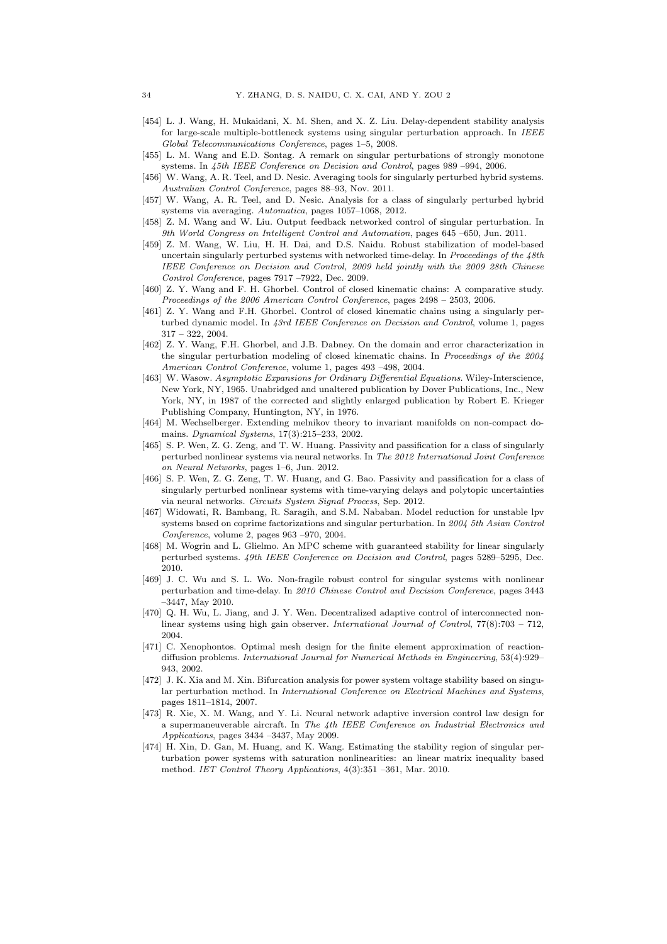- [454] L. J. Wang, H. Mukaidani, X. M. Shen, and X. Z. Liu. Delay-dependent stability analysis for large-scale multiple-bottleneck systems using singular perturbation approach. In *IEEE Global Telecommunications Conference*, pages 1–5, 2008.
- [455] L. M. Wang and E.D. Sontag. A remark on singular perturbations of strongly monotone systems. In *45th IEEE Conference on Decision and Control*, pages 989 –994, 2006.
- [456] W. Wang, A. R. Teel, and D. Nesic. Averaging tools for singularly perturbed hybrid systems. *Australian Control Conference*, pages 88–93, Nov. 2011.
- [457] W. Wang, A. R. Teel, and D. Nesic. Analysis for a class of singularly perturbed hybrid systems via averaging. *Automatica*, pages 1057–1068, 2012.
- [458] Z. M. Wang and W. Liu. Output feedback networked control of singular perturbation. In *9th World Congress on Intelligent Control and Automation*, pages 645 –650, Jun. 2011.
- [459] Z. M. Wang, W. Liu, H. H. Dai, and D.S. Naidu. Robust stabilization of model-based uncertain singularly perturbed systems with networked time-delay. In *Proceedings of the 48th IEEE Conference on Decision and Control, 2009 held jointly with the 2009 28th Chinese Control Conference*, pages 7917 –7922, Dec. 2009.
- [460] Z. Y. Wang and F. H. Ghorbel. Control of closed kinematic chains: A comparative study. *Proceedings of the 2006 American Control Conference*, pages 2498 – 2503, 2006.
- [461] Z. Y. Wang and F.H. Ghorbel. Control of closed kinematic chains using a singularly perturbed dynamic model. In *43rd IEEE Conference on Decision and Control*, volume 1, pages 317 – 322, 2004.
- [462] Z. Y. Wang, F.H. Ghorbel, and J.B. Dabney. On the domain and error characterization in the singular perturbation modeling of closed kinematic chains. In *Proceedings of the 2004 American Control Conference*, volume 1, pages 493 –498, 2004.
- [463] W. Wasow. *Asymptotic Expansions for Ordinary Differential Equations*. Wiley-Interscience, New York, NY, 1965. Unabridged and unaltered publication by Dover Publications, Inc., New York, NY, in 1987 of the corrected and slightly enlarged publication by Robert E. Krieger Publishing Company, Huntington, NY, in 1976.
- [464] M. Wechselberger. Extending melnikov theory to invariant manifolds on non-compact domains. *Dynamical Systems*, 17(3):215–233, 2002.
- [465] S. P. Wen, Z. G. Zeng, and T. W. Huang. Passivity and passification for a class of singularly perturbed nonlinear systems via neural networks. In *The 2012 International Joint Conference on Neural Networks*, pages 1–6, Jun. 2012.
- [466] S. P. Wen, Z. G. Zeng, T. W. Huang, and G. Bao. Passivity and passification for a class of singularly perturbed nonlinear systems with time-varying delays and polytopic uncertainties via neural networks. *Circuits System Signal Process*, Sep. 2012.
- [467] Widowati, R. Bambang, R. Saragih, and S.M. Nababan. Model reduction for unstable lpv systems based on coprime factorizations and singular perturbation. In *2004 5th Asian Control Conference*, volume 2, pages 963 –970, 2004.
- [468] M. Wogrin and L. Glielmo. An MPC scheme with guaranteed stability for linear singularly perturbed systems. *49th IEEE Conference on Decision and Control*, pages 5289–5295, Dec. 2010.
- [469] J. C. Wu and S. L. Wo. Non-fragile robust control for singular systems with nonlinear perturbation and time-delay. In *2010 Chinese Control and Decision Conference*, pages 3443 –3447, May 2010.
- [470] Q. H. Wu, L. Jiang, and J. Y. Wen. Decentralized adaptive control of interconnected nonlinear systems using high gain observer. *International Journal of Control*, 77(8):703 – 712, 2004.
- [471] C. Xenophontos. Optimal mesh design for the finite element approximation of reactiondiffusion problems. *International Journal for Numerical Methods in Engineering*, 53(4):929– 943, 2002.
- [472] J. K. Xia and M. Xin. Bifurcation analysis for power system voltage stability based on singular perturbation method. In *International Conference on Electrical Machines and Systems*, pages 1811–1814, 2007.
- [473] R. Xie, X. M. Wang, and Y. Li. Neural network adaptive inversion control law design for a supermaneuverable aircraft. In *The 4th IEEE Conference on Industrial Electronics and Applications*, pages 3434 –3437, May 2009.
- [474] H. Xin, D. Gan, M. Huang, and K. Wang. Estimating the stability region of singular perturbation power systems with saturation nonlinearities: an linear matrix inequality based method. *IET Control Theory Applications*, 4(3):351 –361, Mar. 2010.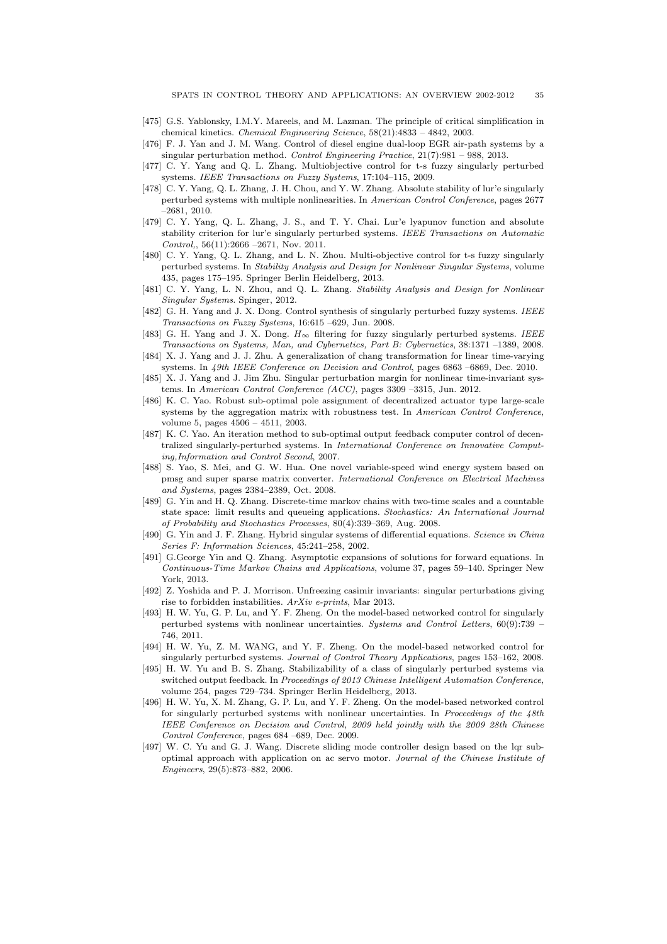- [475] G.S. Yablonsky, I.M.Y. Mareels, and M. Lazman. The principle of critical simplification in chemical kinetics. *Chemical Engineering Science*, 58(21):4833 – 4842, 2003.
- [476] F. J. Yan and J. M. Wang. Control of diesel engine dual-loop EGR air-path systems by a singular perturbation method. *Control Engineering Practice*, 21(7):981 – 988, 2013.
- [477] C. Y. Yang and Q. L. Zhang. Multiobjective control for t-s fuzzy singularly perturbed systems. *IEEE Transactions on Fuzzy Systems*, 17:104–115, 2009.
- [478] C. Y. Yang, Q. L. Zhang, J. H. Chou, and Y. W. Zhang. Absolute stability of lur'e singularly perturbed systems with multiple nonlinearities. In *American Control Conference*, pages 2677 –2681, 2010.
- [479] C. Y. Yang, Q. L. Zhang, J. S., and T. Y. Chai. Lur'e lyapunov function and absolute stability criterion for lur'e singularly perturbed systems. *IEEE Transactions on Automatic Control,*, 56(11):2666 –2671, Nov. 2011.
- [480] C. Y. Yang, Q. L. Zhang, and L. N. Zhou. Multi-objective control for t-s fuzzy singularly perturbed systems. In *Stability Analysis and Design for Nonlinear Singular Systems*, volume 435, pages 175–195. Springer Berlin Heidelberg, 2013.
- [481] C. Y. Yang, L. N. Zhou, and Q. L. Zhang. *Stability Analysis and Design for Nonlinear Singular Systems*. Spinger, 2012.
- [482] G. H. Yang and J. X. Dong. Control synthesis of singularly perturbed fuzzy systems. *IEEE Transactions on Fuzzy Systems*, 16:615 –629, Jun. 2008.
- [483] G. H. Yang and J. X. Dong. H∞ filtering for fuzzy singularly perturbed systems. *IEEE Transactions on Systems, Man, and Cybernetics, Part B: Cybernetics*, 38:1371 –1389, 2008.
- [484] X. J. Yang and J. J. Zhu. A generalization of chang transformation for linear time-varying systems. In *49th IEEE Conference on Decision and Control*, pages 6863 –6869, Dec. 2010.
- [485] X. J. Yang and J. Jim Zhu. Singular perturbation margin for nonlinear time-invariant systems. In *American Control Conference (ACC)*, pages 3309 –3315, Jun. 2012.
- [486] K. C. Yao. Robust sub-optimal pole assignment of decentralized actuator type large-scale systems by the aggregation matrix with robustness test. In *American Control Conference*, volume 5, pages 4506 – 4511, 2003.
- [487] K. C. Yao. An iteration method to sub-optimal output feedback computer control of decentralized singularly-perturbed systems. In *International Conference on Innovative Computing,Information and Control Second*, 2007.
- [488] S. Yao, S. Mei, and G. W. Hua. One novel variable-speed wind energy system based on pmsg and super sparse matrix converter. *International Conference on Electrical Machines and Systems*, pages 2384–2389, Oct. 2008.
- [489] G. Yin and H. Q. Zhang. Discrete-time markov chains with two-time scales and a countable state space: limit results and queueing applications. *Stochastics: An International Journal of Probability and Stochastics Processes*, 80(4):339–369, Aug. 2008.
- [490] G. Yin and J. F. Zhang. Hybrid singular systems of differential equations. *Science in China Series F: Information Sciences*, 45:241–258, 2002.
- [491] G.George Yin and Q. Zhang. Asymptotic expansions of solutions for forward equations. In *Continuous-Time Markov Chains and Applications*, volume 37, pages 59–140. Springer New York, 2013.
- [492] Z. Yoshida and P. J. Morrison. Unfreezing casimir invariants: singular perturbations giving rise to forbidden instabilities. *ArXiv e-prints*, Mar 2013.
- [493] H. W. Yu, G. P. Lu, and Y. F. Zheng. On the model-based networked control for singularly perturbed systems with nonlinear uncertainties. *Systems and Control Letters*, 60(9):739 – 746, 2011.
- [494] H. W. Yu, Z. M. WANG, and Y. F. Zheng. On the model-based networked control for singularly perturbed systems. *Journal of Control Theory Applications*, pages 153–162, 2008.
- [495] H. W. Yu and B. S. Zhang. Stabilizability of a class of singularly perturbed systems via switched output feedback. In *Proceedings of 2013 Chinese Intelligent Automation Conference*, volume 254, pages 729–734. Springer Berlin Heidelberg, 2013.
- [496] H. W. Yu, X. M. Zhang, G. P. Lu, and Y. F. Zheng. On the model-based networked control for singularly perturbed systems with nonlinear uncertainties. In *Proceedings of the 48th IEEE Conference on Decision and Control, 2009 held jointly with the 2009 28th Chinese Control Conference*, pages 684 –689, Dec. 2009.
- [497] W. C. Yu and G. J. Wang. Discrete sliding mode controller design based on the lqr suboptimal approach with application on ac servo motor. *Journal of the Chinese Institute of Engineers*, 29(5):873–882, 2006.